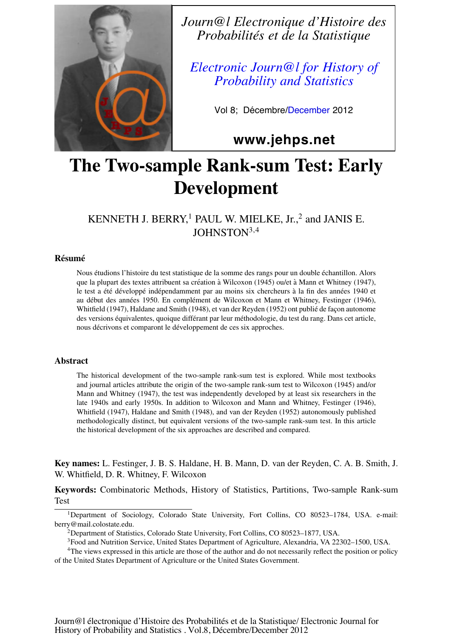

*Journ@l Electronique d'Histoire des Probabilités et de la Statistique*

*Electronic Journ@l for History of Probability and Statistics*

Vol 8; Décembre/December 2012

**www.jehps.net**

# The Two-sample Rank-sum Test: Early Development

KENNETH J. BERRY,<sup>1</sup> PAUL W. MIELKE, Jr.,<sup>2</sup> and JANIS E. JOHNSTON<sup>3,4</sup>

#### **Résumé**

Nous étudions l'histoire du test statistique de la somme des rangs pour un double échantillon. Alors que la plupart des textes attribuent sa création à Wilcoxon (1945) ou/et à Mann et Whitney (1947), le test a été développé indépendamment par au moins six chercheurs à la fin des années 1940 et au début des années 1950. En complément de Wilcoxon et Mann et Whitney, Festinger (1946), Whitfield (1947), Haldane and Smith (1948), et van der Reyden (1952) ont publié de façon autonome des versions équivalentes, quoique différant par leur méthodologie, du test du rang. Dans cet article, nous décrivons et comparont le développement de ces six approches.

#### Abstract

The historical development of the two-sample rank-sum test is explored. While most textbooks and journal articles attribute the origin of the two-sample rank-sum test to Wilcoxon (1945) and/or Mann and Whitney (1947), the test was independently developed by at least six researchers in the late 1940s and early 1950s. In addition to Wilcoxon and Mann and Whitney, Festinger (1946), Whitfield (1947), Haldane and Smith (1948), and van der Reyden (1952) autonomously published methodologically distinct, but equivalent versions of the two-sample rank-sum test. In this article the historical development of the six approaches are described and compared.

Key names: L. Festinger, J. B. S. Haldane, H. B. Mann, D. van der Reyden, C. A. B. Smith, J. W. Whitfield, D. R. Whitney, F. Wilcoxon

Keywords: Combinatoric Methods, History of Statistics, Partitions, Two-sample Rank-sum Test

<sup>&</sup>lt;sup>1</sup>Department of Sociology, Colorado State University, Fort Collins, CO 80523-1784, USA. e-mail: berry@mail.colostate.edu.

<sup>&</sup>lt;sup>2</sup>Department of Statistics, Colorado State University, Fort Collins, CO 80523-1877, USA.

<sup>3</sup>Food and Nutrition Service, United States Department of Agriculture, Alexandria, VA 22302–1500, USA.

<sup>4</sup>The views expressed in this article are those of the author and do not necessarily reflect the position or policy of the United States Department of Agriculture or the United States Government.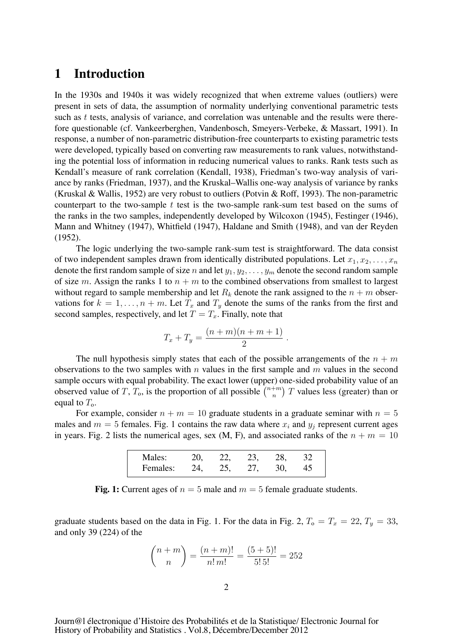## 1 Introduction

In the 1930s and 1940s it was widely recognized that when extreme values (outliers) were present in sets of data, the assumption of normality underlying conventional parametric tests such as t tests, analysis of variance, and correlation was untenable and the results were therefore questionable (cf. Vankeerberghen, Vandenbosch, Smeyers-Verbeke, & Massart, 1991). In response, a number of non-parametric distribution-free counterparts to existing parametric tests were developed, typically based on converting raw measurements to rank values, notwithstanding the potential loss of information in reducing numerical values to ranks. Rank tests such as Kendall's measure of rank correlation (Kendall, 1938), Friedman's two-way analysis of variance by ranks (Friedman, 1937), and the Kruskal–Wallis one-way analysis of variance by ranks (Kruskal & Wallis, 1952) are very robust to outliers (Potvin & Roff, 1993). The non-parametric counterpart to the two-sample  $t$  test is the two-sample rank-sum test based on the sums of the ranks in the two samples, independently developed by Wilcoxon (1945), Festinger (1946), Mann and Whitney (1947), Whitfield (1947), Haldane and Smith (1948), and van der Reyden (1952).

The logic underlying the two-sample rank-sum test is straightforward. The data consist of two independent samples drawn from identically distributed populations. Let  $x_1, x_2, \ldots, x_n$ denote the first random sample of size n and let  $y_1, y_2, \ldots, y_m$  denote the second random sample of size m. Assign the ranks 1 to  $n + m$  to the combined observations from smallest to largest without regard to sample membership and let  $R_k$  denote the rank assigned to the  $n + m$  observations for  $k = 1, \ldots, n + m$ . Let  $T_x$  and  $T_y$  denote the sums of the ranks from the first and second samples, respectively, and let  $T = T_x$ . Finally, note that

$$
T_x + T_y = \frac{(n+m)(n+m+1)}{2}.
$$

The null hypothesis simply states that each of the possible arrangements of the  $n + m$ observations to the two samples with n values in the first sample and m values in the second sample occurs with equal probability. The exact lower (upper) one-sided probability value of an observed value of T,  $T_0$ , is the proportion of all possible  $\binom{n+m}{n}$  T values less (greater) than or equal to  $T_0$ .

For example, consider  $n + m = 10$  graduate students in a graduate seminar with  $n = 5$ males and  $m = 5$  females. Fig. 1 contains the raw data where  $x_i$  and  $y_j$  represent current ages in years. Fig. 2 lists the numerical ages, sex (M, F), and associated ranks of the  $n + m = 10$ 

| Males:   |     |     | $\mathcal{L}$ | າຂ |  |
|----------|-----|-----|---------------|----|--|
| Females: | ) Д | クラー |               |    |  |

Fig. 1: Current ages of  $n = 5$  male and  $m = 5$  female graduate students.

graduate students based on the data in Fig. 1. For the data in Fig. 2,  $T_0 = T_x = 22, T_y = 33$ , and only 39 (224) of the

$$
\binom{n+m}{n} = \frac{(n+m)!}{n!m!} = \frac{(5+5)!}{5! \, 5!} = 252
$$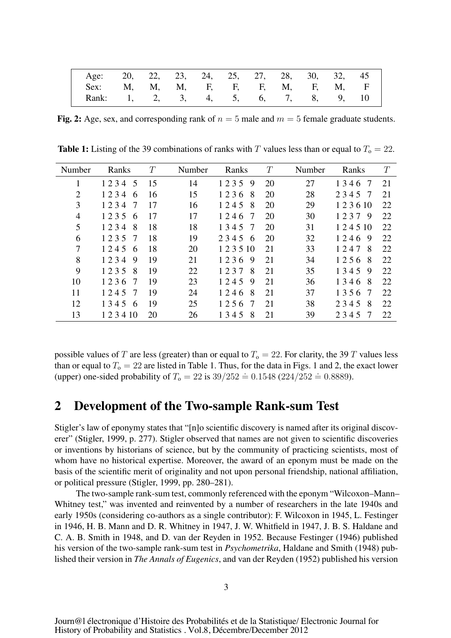| Age: 20, 22, 23, 24, 25, 27, 28, 30, 32, 45 |  |  |  |  |  |
|---------------------------------------------|--|--|--|--|--|
| Sex: M, M, M, F, F, F, M, F, M, F           |  |  |  |  |  |
| Rank: 1, 2, 3, 4, 5, 6, 7, 8, 9, 10         |  |  |  |  |  |

Fig. 2: Age, sex, and corresponding rank of  $n = 5$  male and  $m = 5$  female graduate students.

**Table 1:** Listing of the 39 combinations of ranks with T values less than or equal to  $T_0 = 22$ .

| Number         | Ranks      | T  | Number | Ranks      | T  | Number | Ranks      | T  |
|----------------|------------|----|--------|------------|----|--------|------------|----|
| 1              | 1234<br>5  | 15 | 14     | 1235<br>9  | 20 | 27     | 1346<br>-7 | 21 |
| $\overline{2}$ | 1234<br>6  | 16 | 15     | 1236<br>8  | 20 | 28     | 2345<br>-7 | 21 |
| 3              | 1234<br>7  | 17 | 16     | 1245<br>8  | 20 | 29     | 123610     | 22 |
| 4              | 1235<br>6  | 17 | 17     | 1246<br>-7 | 20 | 30     | 1237 9     | 22 |
| 5              | 1234<br>8  | 18 | 18     | 1345<br>-7 | 20 | 31     | 1 2 4 5 10 | 22 |
| 6              | 1235<br>7  | 18 | 19     | 2345<br>6  | 20 | 32     | 1246<br>-9 | 22 |
| 7              | 1245<br>6  | 18 | 20     | 1 2 3 5 10 | 21 | 33     | 1247<br>8  | 22 |
| 8              | 1234<br>9  | 19 | 21     | 1236<br>-9 | 21 | 34     | 1256<br>-8 | 22 |
| 9              | 1235<br>8  | 19 | 22     | 1237<br>8  | 21 | 35     | 1345<br>-9 | 22 |
| 10             | 1236<br>7  | 19 | 23     | 1245<br>9  | 21 | 36     | 1346<br>8  | 22 |
| 11             | 1245<br>7  | 19 | 24     | 1246<br>8  | 21 | 37     | 1356<br>-7 | 22 |
| 12             | 1345<br>6  | 19 | 25     | 1256<br>7  | 21 | 38     | 2345<br>8  | 22 |
| 13             | 1 2 3 4 10 | 20 | 26     | 1345<br>8  | 21 | 39     | 2345<br>-7 | 22 |

possible values of T are less (greater) than or equal to  $T_0 = 22$ . For clarity, the 39 T values less than or equal to  $T_0 = 22$  are listed in Table 1. Thus, for the data in Figs. 1 and 2, the exact lower (upper) one-sided probability of  $T_0 = 22$  is  $39/252 = 0.1548$  ( $224/252 = 0.8889$ ).

## 2 Development of the Two-sample Rank-sum Test

Stigler's law of eponymy states that "[n]o scientific discovery is named after its original discoverer" (Stigler, 1999, p. 277). Stigler observed that names are not given to scientific discoveries or inventions by historians of science, but by the community of practicing scientists, most of whom have no historical expertise. Moreover, the award of an eponym must be made on the basis of the scientific merit of originality and not upon personal friendship, national affiliation, or political pressure (Stigler, 1999, pp. 280–281).

The two-sample rank-sum test, commonly referenced with the eponym "Wilcoxon–Mann– Whitney test," was invented and reinvented by a number of researchers in the late 1940s and early 1950s (considering co-authors as a single contributor): F. Wilcoxon in 1945, L. Festinger in 1946, H. B. Mann and D. R. Whitney in 1947, J. W. Whitfield in 1947, J. B. S. Haldane and C. A. B. Smith in 1948, and D. van der Reyden in 1952. Because Festinger (1946) published his version of the two-sample rank-sum test in *Psychometrika*, Haldane and Smith (1948) published their version in *The Annals of Eugenics*, and van der Reyden (1952) published his version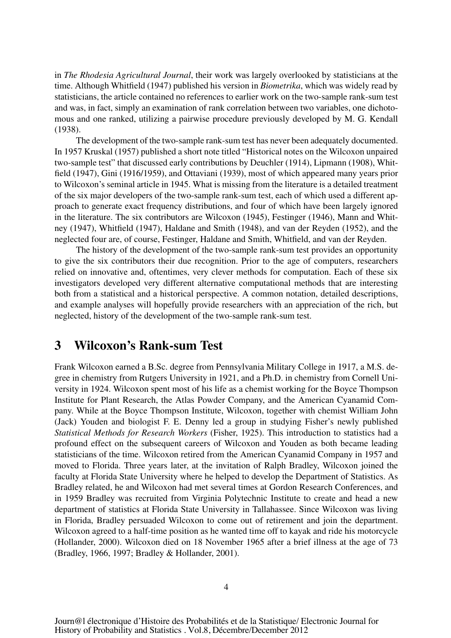in *The Rhodesia Agricultural Journal*, their work was largely overlooked by statisticians at the time. Although Whitfield (1947) published his version in *Biometrika*, which was widely read by statisticians, the article contained no references to earlier work on the two-sample rank-sum test and was, in fact, simply an examination of rank correlation between two variables, one dichotomous and one ranked, utilizing a pairwise procedure previously developed by M. G. Kendall (1938).

The development of the two-sample rank-sum test has never been adequately documented. In 1957 Kruskal (1957) published a short note titled "Historical notes on the Wilcoxon unpaired two-sample test" that discussed early contributions by Deuchler (1914), Lipmann (1908), Whitfield (1947), Gini (1916/1959), and Ottaviani (1939), most of which appeared many years prior to Wilcoxon's seminal article in 1945. What is missing from the literature is a detailed treatment of the six major developers of the two-sample rank-sum test, each of which used a different approach to generate exact frequency distributions, and four of which have been largely ignored in the literature. The six contributors are Wilcoxon (1945), Festinger (1946), Mann and Whitney (1947), Whitfield (1947), Haldane and Smith (1948), and van der Reyden (1952), and the neglected four are, of course, Festinger, Haldane and Smith, Whitfield, and van der Reyden.

The history of the development of the two-sample rank-sum test provides an opportunity to give the six contributors their due recognition. Prior to the age of computers, researchers relied on innovative and, oftentimes, very clever methods for computation. Each of these six investigators developed very different alternative computational methods that are interesting both from a statistical and a historical perspective. A common notation, detailed descriptions, and example analyses will hopefully provide researchers with an appreciation of the rich, but neglected, history of the development of the two-sample rank-sum test.

### 3 Wilcoxon's Rank-sum Test

Frank Wilcoxon earned a B.Sc. degree from Pennsylvania Military College in 1917, a M.S. degree in chemistry from Rutgers University in 1921, and a Ph.D. in chemistry from Cornell University in 1924. Wilcoxon spent most of his life as a chemist working for the Boyce Thompson Institute for Plant Research, the Atlas Powder Company, and the American Cyanamid Company. While at the Boyce Thompson Institute, Wilcoxon, together with chemist William John (Jack) Youden and biologist F. E. Denny led a group in studying Fisher's newly published *Statistical Methods for Research Workers* (Fisher, 1925). This introduction to statistics had a profound effect on the subsequent careers of Wilcoxon and Youden as both became leading statisticians of the time. Wilcoxon retired from the American Cyanamid Company in 1957 and moved to Florida. Three years later, at the invitation of Ralph Bradley, Wilcoxon joined the faculty at Florida State University where he helped to develop the Department of Statistics. As Bradley related, he and Wilcoxon had met several times at Gordon Research Conferences, and in 1959 Bradley was recruited from Virginia Polytechnic Institute to create and head a new department of statistics at Florida State University in Tallahassee. Since Wilcoxon was living in Florida, Bradley persuaded Wilcoxon to come out of retirement and join the department. Wilcoxon agreed to a half-time position as he wanted time off to kayak and ride his motorcycle (Hollander, 2000). Wilcoxon died on 18 November 1965 after a brief illness at the age of 73 (Bradley, 1966, 1997; Bradley & Hollander, 2001).

Journ@l électronique d'Histoire des Probabilités et de la Statistique/ Electronic Journal for History of Probability and Statistics . Vol.8, Décembre/December 2012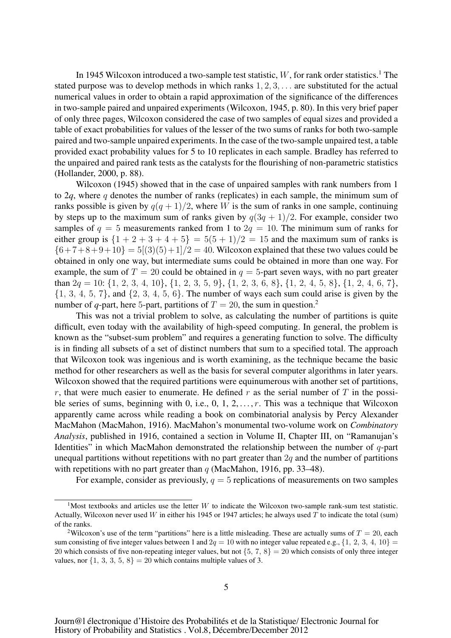In 1945 Wilcoxon introduced a two-sample test statistic,  $W$ , for rank order statistics.<sup>1</sup> The stated purpose was to develop methods in which ranks  $1, 2, 3, \ldots$  are substituted for the actual numerical values in order to obtain a rapid approximation of the significance of the differences in two-sample paired and unpaired experiments (Wilcoxon, 1945, p. 80). In this very brief paper of only three pages, Wilcoxon considered the case of two samples of equal sizes and provided a table of exact probabilities for values of the lesser of the two sums of ranks for both two-sample paired and two-sample unpaired experiments. In the case of the two-sample unpaired test, a table provided exact probability values for 5 to 10 replicates in each sample. Bradley has referred to the unpaired and paired rank tests as the catalysts for the flourishing of non-parametric statistics (Hollander, 2000, p. 88).

Wilcoxon (1945) showed that in the case of unpaired samples with rank numbers from 1 to  $2q$ , where q denotes the number of ranks (replicates) in each sample, the minimum sum of ranks possible is given by  $q(q + 1)/2$ , where W is the sum of ranks in one sample, continuing by steps up to the maximum sum of ranks given by  $q(3q + 1)/2$ . For example, consider two samples of  $q = 5$  measurements ranked from 1 to  $2q = 10$ . The minimum sum of ranks for either group is  ${1 + 2 + 3 + 4 + 5} = 5(5 + 1)/2 = 15$  and the maximum sum of ranks is  ${6+7+8+9+10} = 5(3)(5) + 1/2 = 40$ . Wilcoxon explained that these two values could be obtained in only one way, but intermediate sums could be obtained in more than one way. For example, the sum of  $T = 20$  could be obtained in  $q = 5$ -part seven ways, with no part greater than  $2q = 10$ :  $\{1, 2, 3, 4, 10\}, \{1, 2, 3, 5, 9\}, \{1, 2, 3, 6, 8\}, \{1, 2, 4, 5, 8\}, \{1, 2, 4, 6, 7\},$  $\{1, 3, 4, 5, 7\}$ , and  $\{2, 3, 4, 5, 6\}$ . The number of ways each sum could arise is given by the number of *q*-part, here 5-part, partitions of  $T = 20$ , the sum in question.<sup>2</sup>

This was not a trivial problem to solve, as calculating the number of partitions is quite difficult, even today with the availability of high-speed computing. In general, the problem is known as the "subset-sum problem" and requires a generating function to solve. The difficulty is in finding all subsets of a set of distinct numbers that sum to a specified total. The approach that Wilcoxon took was ingenious and is worth examining, as the technique became the basic method for other researchers as well as the basis for several computer algorithms in later years. Wilcoxon showed that the required partitions were equinumerous with another set of partitions, r, that were much easier to enumerate. He defined r as the serial number of T in the possible series of sums, beginning with 0, i.e., 0, 1, 2,  $\dots$ , r. This was a technique that Wilcoxon apparently came across while reading a book on combinatorial analysis by Percy Alexander MacMahon (MacMahon, 1916). MacMahon's monumental two-volume work on *Combinatory Analysis*, published in 1916, contained a section in Volume II, Chapter III, on "Ramanujan's Identities" in which MacMahon demonstrated the relationship between the number of  $q$ -part unequal partitions without repetitions with no part greater than  $2q$  and the number of partitions with repetitions with no part greater than  $q$  (MacMahon, 1916, pp. 33–48).

For example, consider as previously,  $q = 5$  replications of measurements on two samples

<sup>&</sup>lt;sup>1</sup>Most textbooks and articles use the letter W to indicate the Wilcoxon two-sample rank-sum test statistic. Actually, Wilcoxon never used W in either his 1945 or 1947 articles; he always used T to indicate the total (sum) of the ranks.

<sup>&</sup>lt;sup>2</sup>Wilcoxon's use of the term "partitions" here is a little misleading. These are actually sums of  $T = 20$ , each sum consisting of five integer values between 1 and  $2q = 10$  with no integer value repeated e.g.,  $\{1, 2, 3, 4, 10\}$ 20 which consists of five non-repeating integer values, but not  $\{5, 7, 8\} = 20$  which consists of only three integer values, nor  $\{1, 3, 3, 5, 8\} = 20$  which contains multiple values of 3.

Journ@l électronique d'Histoire des Probabilités et de la Statistique/ Electronic Journal for History of Probability and Statistics . Vol.8, Décembre/December 2012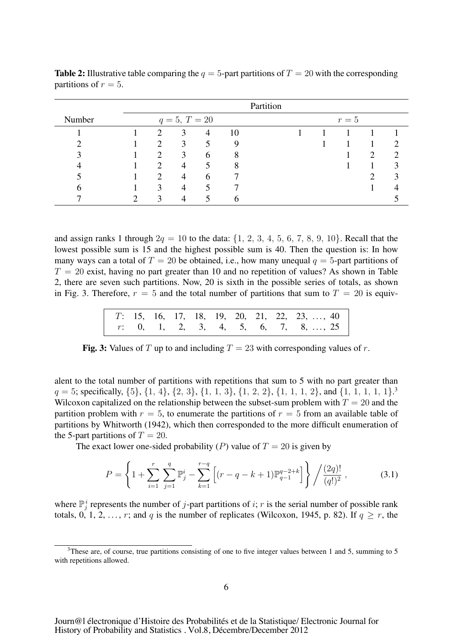|        |                          |                 |               |    | Partition |  |       |   |  |
|--------|--------------------------|-----------------|---------------|----|-----------|--|-------|---|--|
| Number |                          | $q = 5, T = 20$ |               |    |           |  | $r=5$ |   |  |
|        | $\mathfrak{D}_{1}^{(1)}$ | 3               | 4             | 10 |           |  |       |   |  |
|        | $\mathfrak{D}_{1}^{(1)}$ | 3               | 5             | 9  |           |  |       |   |  |
|        | $\mathcal{D}$            | 3               | $\mathfrak b$ | 8  |           |  |       | 2 |  |
|        | ◠                        | 4               | 5             | 8  |           |  |       |   |  |
|        | ◠                        | $\overline{4}$  | $\mathfrak b$ |    |           |  |       |   |  |
|        | 3                        | 4               | 5             |    |           |  |       |   |  |
|        | $\mathbf{R}$             |                 |               | n  |           |  |       |   |  |

**Table 2:** Illustrative table comparing the  $q = 5$ -part partitions of  $T = 20$  with the corresponding partitions of  $r = 5$ .

and assign ranks 1 through  $2q = 10$  to the data:  $\{1, 2, 3, 4, 5, 6, 7, 8, 9, 10\}$ . Recall that the lowest possible sum is 15 and the highest possible sum is 40. Then the question is: In how many ways can a total of  $T = 20$  be obtained, i.e., how many unequal  $q = 5$ -part partitions of  $T = 20$  exist, having no part greater than 10 and no repetition of values? As shown in Table 2, there are seven such partitions. Now, 20 is sixth in the possible series of totals, as shown in Fig. 3. Therefore,  $r = 5$  and the total number of partitions that sum to  $T = 20$  is equiv-

|  |  |  |  | $T$ : 15, 16, 17, 18, 19, 20, 21, 22, 23, , 40                                                         |
|--|--|--|--|--------------------------------------------------------------------------------------------------------|
|  |  |  |  | $r: \quad 0, \quad 1, \quad 2, \quad 3, \quad 4, \quad 5, \quad 6, \quad 7, \quad 8, \ldots, \quad 25$ |

Fig. 3: Values of T up to and including  $T = 23$  with corresponding values of r.

alent to the total number of partitions with repetitions that sum to 5 with no part greater than  $q = 5$ ; specifically,  $\{5\}$ ,  $\{1, 4\}$ ,  $\{2, 3\}$ ,  $\{1, 1, 3\}$ ,  $\{1, 2, 2\}$ ,  $\{1, 1, 1, 2\}$ , and  $\{1, 1, 1, 1, 1\}$ .<sup>3</sup> Wilcoxon capitalized on the relationship between the subset-sum problem with  $T = 20$  and the partition problem with  $r = 5$ , to enumerate the partitions of  $r = 5$  from an available table of partitions by Whitworth (1942), which then corresponded to the more difficult enumeration of the 5-part partitions of  $T = 20$ .

The exact lower one-sided probability (P) value of  $T = 20$  is given by

$$
P = \left\{ 1 + \sum_{i=1}^{r} \sum_{j=1}^{q} \mathbb{P}_{j}^{i} - \sum_{k=1}^{r-q} \left[ (r - q - k + 1) \mathbb{P}_{q-1}^{q-2+k} \right] \right\} / \frac{(2q)!}{(q!)^{2}},
$$
(3.1)

where  $\mathbb{P}_j^i$  represents the number of j-part partitions of i; r is the serial number of possible rank totals, 0, 1, 2, ..., r; and q is the number of replicates (Wilcoxon, 1945, p. 82). If  $q \ge r$ , the

<sup>&</sup>lt;sup>3</sup>These are, of course, true partitions consisting of one to five integer values between 1 and 5, summing to 5 with repetitions allowed.

Journ@l électronique d'Histoire des Probabilités et de la Statistique/ Electronic Journal for History of Probability and Statistics . Vol.8, Décembre/December 2012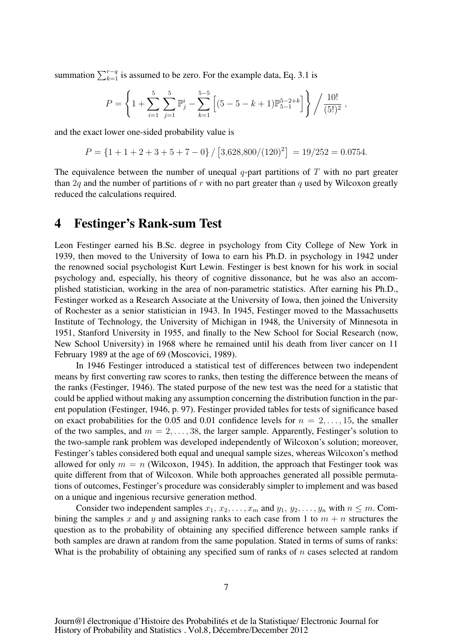summation  $\sum_{k=1}^{r-q}$  is assumed to be zero. For the example data, Eq. 3.1 is

$$
P = \left\{ 1 + \sum_{i=1}^{5} \sum_{j=1}^{5} \mathbb{P}_{j}^{i} - \sum_{k=1}^{5-5} \left[ (5 - 5 - k + 1) \mathbb{P}_{5-1}^{5-2+k} \right] \right\} / \frac{10!}{(5!)^{2}},
$$

and the exact lower one-sided probability value is

$$
P = \{1 + 1 + 2 + 3 + 5 + 7 - 0\} / [3,628,800/(120)^{2}] = 19/252 = 0.0754.
$$

The equivalence between the number of unequal q-part partitions of  $T$  with no part greater than 2q and the number of partitions of r with no part greater than q used by Wilcoxon greatly reduced the calculations required.

#### 4 Festinger's Rank-sum Test

Leon Festinger earned his B.Sc. degree in psychology from City College of New York in 1939, then moved to the University of Iowa to earn his Ph.D. in psychology in 1942 under the renowned social psychologist Kurt Lewin. Festinger is best known for his work in social psychology and, especially, his theory of cognitive dissonance, but he was also an accomplished statistician, working in the area of non-parametric statistics. After earning his Ph.D., Festinger worked as a Research Associate at the University of Iowa, then joined the University of Rochester as a senior statistician in 1943. In 1945, Festinger moved to the Massachusetts Institute of Technology, the University of Michigan in 1948, the University of Minnesota in 1951, Stanford University in 1955, and finally to the New School for Social Research (now, New School University) in 1968 where he remained until his death from liver cancer on 11 February 1989 at the age of 69 (Moscovici, 1989).

In 1946 Festinger introduced a statistical test of differences between two independent means by first converting raw scores to ranks, then testing the difference between the means of the ranks (Festinger, 1946). The stated purpose of the new test was the need for a statistic that could be applied without making any assumption concerning the distribution function in the parent population (Festinger, 1946, p. 97). Festinger provided tables for tests of significance based on exact probabilities for the 0.05 and 0.01 confidence levels for  $n = 2, \ldots, 15$ , the smaller of the two samples, and  $m = 2, \ldots, 38$ , the larger sample. Apparently, Festinger's solution to the two-sample rank problem was developed independently of Wilcoxon's solution; moreover, Festinger's tables considered both equal and unequal sample sizes, whereas Wilcoxon's method allowed for only  $m = n$  (Wilcoxon, 1945). In addition, the approach that Festinger took was quite different from that of Wilcoxon. While both approaches generated all possible permutations of outcomes, Festinger's procedure was considerably simpler to implement and was based on a unique and ingenious recursive generation method.

Consider two independent samples  $x_1, x_2, \ldots, x_m$  and  $y_1, y_2, \ldots, y_n$  with  $n \leq m$ . Combining the samples x and y and assigning ranks to each case from 1 to  $m + n$  structures the question as to the probability of obtaining any specified difference between sample ranks if both samples are drawn at random from the same population. Stated in terms of sums of ranks: What is the probability of obtaining any specified sum of ranks of  $n$  cases selected at random

Journ@l électronique d'Histoire des Probabilités et de la Statistique/ Electronic Journal for History of Probability and Statistics . Vol.8, Décembre/December 2012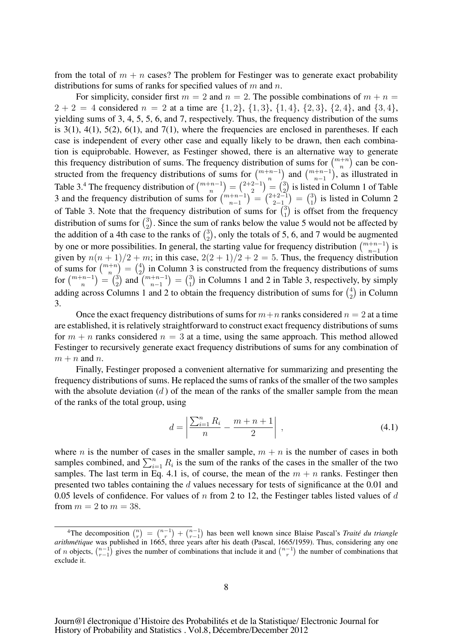from the total of  $m + n$  cases? The problem for Festinger was to generate exact probability distributions for sums of ranks for specified values of  $m$  and  $n$ .

For simplicity, consider first  $m = 2$  and  $n = 2$ . The possible combinations of  $m + n = 1$  $2 + 2 = 4$  considered  $n = 2$  at a time are  $\{1, 2\}, \{1, 3\}, \{1, 4\}, \{2, 3\}, \{2, 4\}, \text{ and } \{3, 4\},$ yielding sums of 3, 4, 5, 5, 6, and 7, respectively. Thus, the frequency distribution of the sums is  $3(1)$ ,  $4(1)$ ,  $5(2)$ ,  $6(1)$ , and  $7(1)$ , where the frequencies are enclosed in parentheses. If each case is independent of every other case and equally likely to be drawn, then each combination is equiprobable. However, as Festinger showed, there is an alternative way to generate this frequency distribution of sums. The frequency distribution of sums for  $\binom{m+n}{n}$  can be constructed from the frequency distributions of sums for  $\binom{m+n-1}{n}$  and  $\binom{m+n-1}{n-1}$  , as illustrated in Table 3.<sup>4</sup> The frequency distribution of  $\binom{m+n-1}{n} = \binom{2+2-1}{2} = \binom{3}{2}$  is listed in Column 1 of Table 3 and the frequency distribution of sums for  $\binom{m+n-1}{n-1} = \binom{2+2-1}{2-1} = \binom{3}{1}$  is listed in Column 2 of Table 3. Note that the frequency distribution of sums for  $\binom{3}{1}$  is offset from the frequency distribution of sums for  $\binom{3}{2}$ . Since the sum of ranks below the value 5 would not be affected by the addition of a 4th case to the ranks of  $\binom{3}{2}$ , only the totals of 5, 6, and 7 would be augmented by one or more possibilities. In general, the starting value for frequency distribution  $\binom{m+n-1}{n-1}$  is given by  $n(n + 1)/2 + m$ ; in this case,  $2(2 + 1)/2 + 2 = 5$ . Thus, the frequency distribution of sums for  $\binom{m+n}{n} = \binom{4}{2}$  in Column 3 is constructed from the frequency distributions of sums for  $\binom{m+n-1}{n} = \binom{3}{2}$  and  $\binom{m+n-1}{n-1}$  $= \binom{3}{1}$  in Columns 1 and 2 in Table 3, respectively, by simply adding across Columns 1 and 2 to obtain the frequency distribution of sums for  $\binom{4}{2}$  in Column 3.

Once the exact frequency distributions of sums for  $m+n$  ranks considered  $n=2$  at a time are established, it is relatively straightforward to construct exact frequency distributions of sums for  $m + n$  ranks considered  $n = 3$  at a time, using the same approach. This method allowed Festinger to recursively generate exact frequency distributions of sums for any combination of  $m + n$  and n.

Finally, Festinger proposed a convenient alternative for summarizing and presenting the frequency distributions of sums. He replaced the sums of ranks of the smaller of the two samples with the absolute deviation  $(d)$  of the mean of the ranks of the smaller sample from the mean of the ranks of the total group, using

$$
d = \left| \frac{\sum_{i=1}^{n} R_i}{n} - \frac{m+n+1}{2} \right| , \qquad (4.1)
$$

where *n* is the number of cases in the smaller sample,  $m + n$  is the number of cases in both samples combined, and  $\sum_{i=1}^{n} R_i$  is the sum of the ranks of the cases in the smaller of the two samples. The last term in Eq. 4.1 is, of course, the mean of the  $m + n$  ranks. Festinger then presented two tables containing the d values necessary for tests of significance at the 0.01 and 0.05 levels of confidence. For values of n from 2 to 12, the Festinger tables listed values of d from  $m = 2$  to  $m = 38$ .

<sup>&</sup>lt;sup>4</sup>The decomposition  $\binom{n}{r} = \binom{n-1}{r-1} + \binom{n-1}{r-1}$  has been well known since Blaise Pascal's *Traité du triangle arithmetique ´* was published in 1665, three years after his death (Pascal, 1665/1959). Thus, considering any one of *n* objects,  $\binom{n-1}{r-1}$  gives the number of combinations that include it and  $\binom{n-1}{r}$  the number of combinations that exclude it.

Journ@l électronique d'Histoire des Probabilités et de la Statistique/ Electronic Journal for History of Probability and Statistics . Vol.8, Décembre/December 2012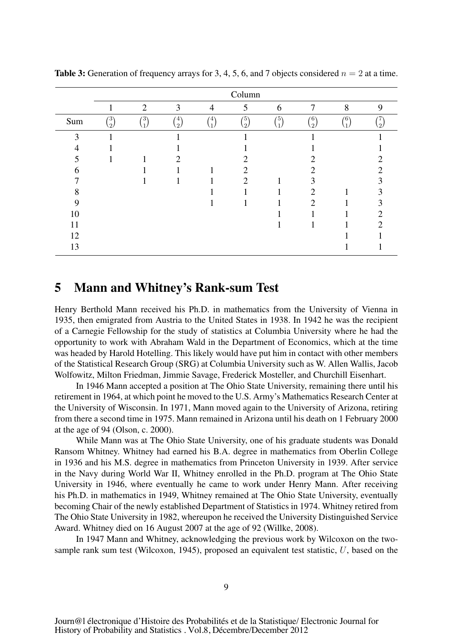|          |                |                |                            |                                       | Column     |     |                            |     |        |
|----------|----------------|----------------|----------------------------|---------------------------------------|------------|-----|----------------------------|-----|--------|
|          | -              | $\overline{2}$ | 3                          | $\overline{4}$                        | 5          | 6   | 7                          | 8   | 9      |
| Sum      | $\binom{3}{2}$ | (3)            | (4)<br>$\langle 2 \rangle$ | $\langle 4 \rangle$<br>$\overline{1}$ | (5)<br>(2) | (5) | (6)<br>$\langle 2 \rangle$ | (6) | $^{2}$ |
| 3        |                |                |                            |                                       |            |     |                            |     |        |
| 4        |                |                |                            |                                       |            |     |                            |     |        |
|          |                |                | ∍                          |                                       |            |     |                            |     |        |
| $\sigma$ |                |                |                            |                                       |            |     |                            |     |        |
|          |                |                |                            |                                       | 2          |     |                            |     |        |
| Ω        |                |                |                            |                                       |            |     | 7                          |     |        |
| Q        |                |                |                            |                                       |            |     | 2                          |     |        |
| 10       |                |                |                            |                                       |            |     |                            |     |        |
| 11       |                |                |                            |                                       |            |     |                            |     |        |
| 12       |                |                |                            |                                       |            |     |                            |     |        |
| 13       |                |                |                            |                                       |            |     |                            |     |        |

**Table 3:** Generation of frequency arrays for 3, 4, 5, 6, and 7 objects considered  $n = 2$  at a time.

#### 5 Mann and Whitney's Rank-sum Test

Henry Berthold Mann received his Ph.D. in mathematics from the University of Vienna in 1935, then emigrated from Austria to the United States in 1938. In 1942 he was the recipient of a Carnegie Fellowship for the study of statistics at Columbia University where he had the opportunity to work with Abraham Wald in the Department of Economics, which at the time was headed by Harold Hotelling. This likely would have put him in contact with other members of the Statistical Research Group (SRG) at Columbia University such as W. Allen Wallis, Jacob Wolfowitz, Milton Friedman, Jimmie Savage, Frederick Mosteller, and Churchill Eisenhart.

In 1946 Mann accepted a position at The Ohio State University, remaining there until his retirement in 1964, at which point he moved to the U.S. Army's Mathematics Research Center at the University of Wisconsin. In 1971, Mann moved again to the University of Arizona, retiring from there a second time in 1975. Mann remained in Arizona until his death on 1 February 2000 at the age of 94 (Olson, c. 2000).

While Mann was at The Ohio State University, one of his graduate students was Donald Ransom Whitney. Whitney had earned his B.A. degree in mathematics from Oberlin College in 1936 and his M.S. degree in mathematics from Princeton University in 1939. After service in the Navy during World War II, Whitney enrolled in the Ph.D. program at The Ohio State University in 1946, where eventually he came to work under Henry Mann. After receiving his Ph.D. in mathematics in 1949, Whitney remained at The Ohio State University, eventually becoming Chair of the newly established Department of Statistics in 1974. Whitney retired from The Ohio State University in 1982, whereupon he received the University Distinguished Service Award. Whitney died on 16 August 2007 at the age of 92 (Willke, 2008).

In 1947 Mann and Whitney, acknowledging the previous work by Wilcoxon on the twosample rank sum test (Wilcoxon, 1945), proposed an equivalent test statistic, U, based on the

Journ@l électronique d'Histoire des Probabilités et de la Statistique/ Electronic Journal for History of Probability and Statistics . Vol.8, Décembre/December 2012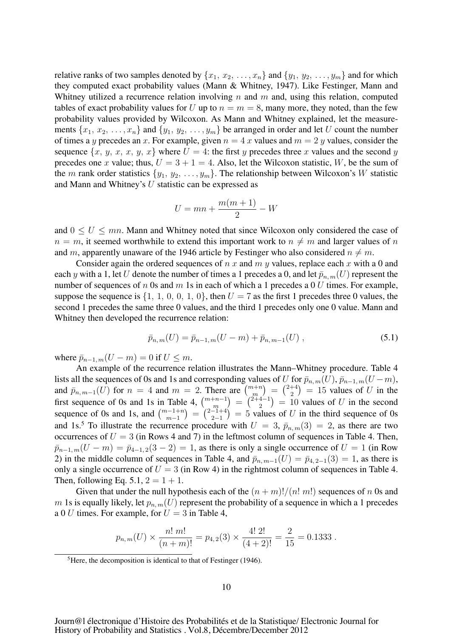relative ranks of two samples denoted by  $\{x_1, x_2, \ldots, x_n\}$  and  $\{y_1, y_2, \ldots, y_m\}$  and for which they computed exact probability values (Mann & Whitney, 1947). Like Festinger, Mann and Whitney utilized a recurrence relation involving  $n$  and  $m$  and, using this relation, computed tables of exact probability values for U up to  $n = m = 8$ , many more, they noted, than the few probability values provided by Wilcoxon. As Mann and Whitney explained, let the measurements  $\{x_1, x_2, \ldots, x_n\}$  and  $\{y_1, y_2, \ldots, y_m\}$  be arranged in order and let U count the number of times a y precedes an x. For example, given  $n = 4 x$  values and  $m = 2 y$  values, consider the sequence  $\{x, y, x, x, y, x\}$  where  $U = 4$ : the first y precedes three x values and the second y precedes one x value; thus,  $U = 3 + 1 = 4$ . Also, let the Wilcoxon statistic, W, be the sum of the m rank order statistics  $\{y_1, y_2, \ldots, y_m\}$ . The relationship between Wilcoxon's W statistic and Mann and Whitney's U statistic can be expressed as

$$
U = mn + \frac{m(m+1)}{2} - W
$$

and  $0 \leq U \leq mn$ . Mann and Whitney noted that since Wilcoxon only considered the case of  $n = m$ , it seemed worthwhile to extend this important work to  $n \neq m$  and larger values of n and m, apparently unaware of the 1946 article by Festinger who also considered  $n \neq m$ .

Consider again the ordered sequences of n x and m y values, replace each x with a 0 and each y with a 1, let U denote the number of times a 1 precedes a 0, and let  $\bar{p}_{n,m}(U)$  represent the number of sequences of n 0s and m 1s in each of which a 1 precedes a 0 U times. For example, suppose the sequence is  $\{1, 1, 0, 0, 1, 0\}$ , then  $U = 7$  as the first 1 precedes three 0 values, the second 1 precedes the same three 0 values, and the third 1 precedes only one 0 value. Mann and Whitney then developed the recurrence relation:

$$
\bar{p}_{n,m}(U) = \bar{p}_{n-1,m}(U-m) + \bar{p}_{n,m-1}(U) , \qquad (5.1)
$$

where  $\bar{p}_{n-1,m}(U - m) = 0$  if  $U \leq m$ .

An example of the recurrence relation illustrates the Mann–Whitney procedure. Table 4 lists all the sequences of 0s and 1s and corresponding values of U for  $\bar{p}_{n,m}(U), \bar{p}_{n-1,m}(U-m)$ , and  $\bar{p}_{n,m-1}(U)$  for  $n = 4$  and  $m = 2$ . There are  $\binom{m+n}{m} = \binom{2+4}{2} = 15$  values of U in the first sequence of 0s and 1s in Table 4,  $\binom{m+n-1}{m} = \binom{2+4-1}{2} = 10$  values of U in the second sequence of 0s and 1s, and  $\binom{m-1+n}{m-1} = \binom{2-1+4}{2-1} = 5$  values of U in the third sequence of 0s and 1s.<sup>5</sup> To illustrate the recurrence procedure with  $U = 3$ ,  $\bar{p}_{n,m}(3) = 2$ , as there are two occurrences of  $U = 3$  (in Rows 4 and 7) in the leftmost column of sequences in Table 4. Then,  $\bar{p}_{n-1, m}(U - m) = \bar{p}_{4-1, 2}(3 - 2) = 1$ , as there is only a single occurrence of  $U = 1$  (in Row 2) in the middle column of sequences in Table 4, and  $\bar{p}_{n,m-1}(U) = \bar{p}_{4,2-1}(3) = 1$ , as there is only a single occurrence of  $U = 3$  (in Row 4) in the rightmost column of sequences in Table 4. Then, following Eq. 5.1,  $2 = 1 + 1$ .

Given that under the null hypothesis each of the  $(n + m)!/(n! m!)$  sequences of n 0s and m 1s is equally likely, let  $p_{n,m}(U)$  represent the probability of a sequence in which a 1 precedes a 0 U times. For example, for  $U = 3$  in Table 4,

$$
p_{n,m}(U) \times \frac{n! \ m!}{(n+m)!} = p_{4,2}(3) \times \frac{4! \ 2!}{(4+2)!} = \frac{2}{15} = 0.1333 \ .
$$

<sup>&</sup>lt;sup>5</sup>Here, the decomposition is identical to that of Festinger (1946).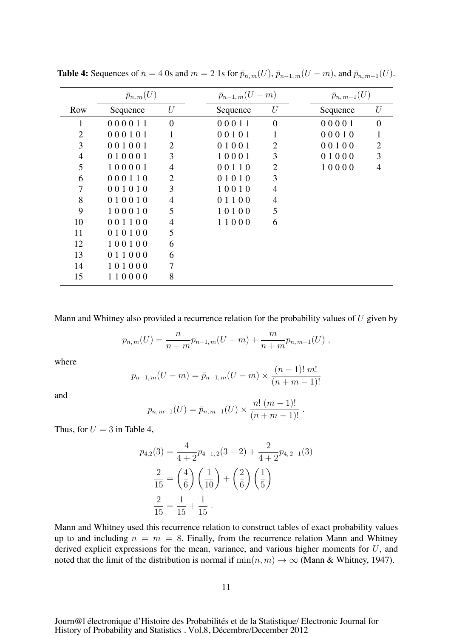|          |                |                    |                | $\bar{p}_{n, m-1}(U)$    |                |
|----------|----------------|--------------------|----------------|--------------------------|----------------|
| Sequence | U              | Sequence           | U              | Sequence                 | U              |
| 000011   | $\overline{0}$ | 00011              | $\overline{0}$ | 00001                    | $\theta$       |
| 000101   |                | 00101              | 1              | 00010                    |                |
| 001001   | $\overline{2}$ | 01001              | $\overline{2}$ | 00100                    | $\overline{2}$ |
| 010001   | 3              | 10001              | 3              | 01000                    | 3              |
| 100001   | 4              | 00110              | $\overline{2}$ | 10000                    | $\overline{4}$ |
| 000110   | 2              | 01010              | 3              |                          |                |
| 001010   | 3              | 10010              | $\overline{4}$ |                          |                |
| 010010   | 4              | 01100              | 4              |                          |                |
| 100010   | 5              | 10100              | 5              |                          |                |
| 001100   | 4              | 11000              | 6              |                          |                |
| 010100   | 5              |                    |                |                          |                |
| 100100   | 6              |                    |                |                          |                |
| 011000   | 6              |                    |                |                          |                |
| 101000   | 7              |                    |                |                          |                |
| 110000   | 8              |                    |                |                          |                |
|          |                | $\bar{p}_{n,m}(U)$ |                | $\bar{p}_{n-1,m}(U - m)$ |                |

Table 4: Sequences of  $n = 4$  0s and  $m = 2$  1s for  $\bar{p}_{n,m}(U)$ ,  $\bar{p}_{n-1,m}(U-m)$ , and  $\bar{p}_{n,m-1}(U)$ .

Mann and Whitney also provided a recurrence relation for the probability values of  $U$  given by

$$
p_{n,m}(U) = \frac{n}{n+m} p_{n-1,m}(U-m) + \frac{m}{n+m} p_{n,m-1}(U) ,
$$

where

$$
p_{n-1,m}(U-m) = \bar{p}_{n-1,m}(U-m) \times \frac{(n-1)! \, m!}{(n+m-1)!}
$$

and

$$
p_{n,m-1}(U) = \bar{p}_{n,m-1}(U) \times \frac{n! (m-1)!}{(n+m-1)!}.
$$

Thus, for  $U = 3$  in Table 4,

$$
p_{4,2}(3) = \frac{4}{4+2}p_{4-1,2}(3-2) + \frac{2}{4+2}p_{4,2-1}(3)
$$

$$
\frac{2}{15} = \left(\frac{4}{6}\right)\left(\frac{1}{10}\right) + \left(\frac{2}{6}\right)\left(\frac{1}{5}\right)
$$

$$
\frac{2}{15} = \frac{1}{15} + \frac{1}{15}.
$$

Mann and Whitney used this recurrence relation to construct tables of exact probability values up to and including  $n = m = 8$ . Finally, from the recurrence relation Mann and Whitney derived explicit expressions for the mean, variance, and various higher moments for  $U$ , and noted that the limit of the distribution is normal if  $\min(n, m) \to \infty$  (Mann & Whitney, 1947).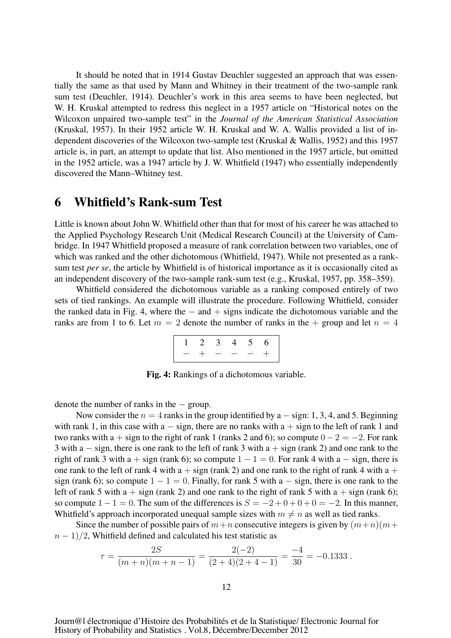It should be noted that in 1914 Gustav Deuchler suggested an approach that was essentially the same as that used by Mann and Whitney in their treatment of the two-sample rank sum test (Deuchler, 1914). Deuchler's work in this area seems to have been neglected, but W. H. Kruskal attempted to redress this neglect in a 1957 article on "Historical notes on the Wilcoxon unpaired two-sample test" in the *Journal of the American Statistical Association* (Kruskal, 1957). In their 1952 article W. H. Kruskal and W. A. Wallis provided a list of independent discoveries of the Wilcoxon two-sample test (Kruskal & Wallis, 1952) and this 1957 article is, in part, an attempt to update that list. Also mentioned in the 1957 article, but omitted in the 1952 article, was a 1947 article by J. W. Whitfield (1947) who essentially independently discovered the Mann–Whitney test.

#### 6 Whitfield's Rank-sum Test

Little is known about John W. Whitfield other than that for most of his career he was attached to the Applied Psychology Research Unit (Medical Research Council) at the University of Cambridge. In 1947 Whitfield proposed a measure of rank correlation between two variables, one of which was ranked and the other dichotomous (Whitfield, 1947). While not presented as a ranksum test *per se*, the article by Whitfield is of historical importance as it is occasionally cited as an independent discovery of the two-sample rank-sum test (e.g., Kruskal, 1957, pp. 358–359).

Whitfield considered the dichotomous variable as a ranking composed entirely of two sets of tied rankings. An example will illustrate the procedure. Following Whitfield, consider the ranked data in Fig. 4, where the  $-$  and  $+$  signs indicate the dichotomous variable and the ranks are from 1 to 6. Let  $m = 2$  denote the number of ranks in the  $+$  group and let  $n = 4$ 

$$
\begin{array}{ccccccccc}\n1 & 2 & 3 & 4 & 5 & 6 \\
 & - & + & - & - & - & + \\
\end{array}
$$

Fig. 4: Rankings of a dichotomous variable.

denote the number of ranks in the − group.

Now consider the  $n = 4$  ranks in the group identified by a  $-$  sign: 1, 3, 4, and 5. Beginning with rank 1, in this case with a  $-$  sign, there are no ranks with a  $+$  sign to the left of rank 1 and two ranks with a + sign to the right of rank 1 (ranks 2 and 6); so compute  $0 - 2 = -2$ . For rank 3 with a − sign, there is one rank to the left of rank 3 with a + sign (rank 2) and one rank to the right of rank 3 with a + sign (rank 6); so compute  $1 - 1 = 0$ . For rank 4 with a  $-$  sign, there is one rank to the left of rank 4 with  $a + sign$  (rank 2) and one rank to the right of rank 4 with  $a +$ sign (rank 6); so compute  $1 - 1 = 0$ . Finally, for rank 5 with a  $-$  sign, there is one rank to the left of rank 5 with  $a + sign$  (rank 2) and one rank to the right of rank 5 with  $a + sign$  (rank 6); so compute  $1 - 1 = 0$ . The sum of the differences is  $S = -2 + 0 + 0 + 0 = -2$ . In this manner, Whitfield's approach incorporated unequal sample sizes with  $m \neq n$  as well as tied ranks.

Since the number of possible pairs of  $m+n$  consecutive integers is given by  $(m+n)(m+n)$  $n - 1/2$ , Whitfield defined and calculated his test statistic as

$$
\tau = \frac{2S}{(m+n)(m+n-1)} = \frac{2(-2)}{(2+4)(2+4-1)} = \frac{-4}{30} = -0.1333.
$$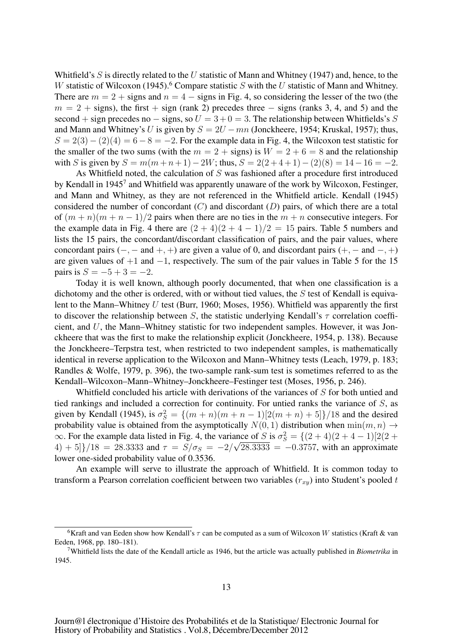Whitfield's  $S$  is directly related to the U statistic of Mann and Whitney (1947) and, hence, to the W statistic of Wilcoxon (1945).<sup>6</sup> Compare statistic S with the U statistic of Mann and Whitney. There are  $m = 2 +$  signs and  $n = 4 -$  signs in Fig. 4, so considering the lesser of the two (the  $m = 2 +$  signs), the first + sign (rank 2) precedes three  $-$  signs (ranks 3, 4, and 5) and the second + sign precedes no – signs, so  $U = 3 + 0 = 3$ . The relationship between Whitfields's S and Mann and Whitney's U is given by  $S = 2U - mn$  (Jonckheere, 1954; Kruskal, 1957); thus,  $S = 2(3) - (2)(4) = 6 - 8 = -2$ . For the example data in Fig. 4, the Wilcoxon test statistic for the smaller of the two sums (with the  $m = 2 +$  signs) is  $W = 2 + 6 = 8$  and the relationship with S is given by  $S = m(m+n+1)-2W$ ; thus,  $S = 2(2+4+1)-(2)(8) = 14-16 = -2$ .

As Whitfield noted, the calculation of S was fashioned after a procedure first introduced by Kendall in 1945<sup>7</sup> and Whitfield was apparently unaware of the work by Wilcoxon, Festinger, and Mann and Whitney, as they are not referenced in the Whitfield article. Kendall (1945) considered the number of concordant  $(C)$  and discordant  $(D)$  pairs, of which there are a total of  $(m + n)(m + n - 1)/2$  pairs when there are no ties in the  $m + n$  consecutive integers. For the example data in Fig. 4 there are  $(2 + 4)(2 + 4 - 1)/2 = 15$  pairs. Table 5 numbers and lists the 15 pairs, the concordant/discordant classification of pairs, and the pair values, where concordant pairs ( $-$ ,  $-$  and  $+$ ,  $+$ ) are given a value of 0, and discordant pairs ( $+$ ,  $-$  and  $-$ ,  $+$ ) are given values of  $+1$  and  $-1$ , respectively. The sum of the pair values in Table 5 for the 15 pairs is  $S = -5 + 3 = -2$ .

Today it is well known, although poorly documented, that when one classification is a dichotomy and the other is ordered, with or without tied values, the S test of Kendall is equivalent to the Mann–Whitney  $U$  test (Burr, 1960; Moses, 1956). Whitfield was apparently the first to discover the relationship between S, the statistic underlying Kendall's  $\tau$  correlation coefficient, and  $U$ , the Mann–Whitney statistic for two independent samples. However, it was Jonckheere that was the first to make the relationship explicit (Jonckheere, 1954, p. 138). Because the Jonckheere–Terpstra test, when restricted to two independent samples, is mathematically identical in reverse application to the Wilcoxon and Mann–Whitney tests (Leach, 1979, p. 183; Randles & Wolfe, 1979, p. 396), the two-sample rank-sum test is sometimes referred to as the Kendall–Wilcoxon–Mann–Whitney–Jonckheere–Festinger test (Moses, 1956, p. 246).

Whitfield concluded his article with derivations of the variances of S for both untied and tied rankings and included a correction for continuity. For untied ranks the variance of S, as given by Kendall (1945), is  $\sigma_S^2 = \{(m+n)(m+n-1)[2(m+n)+5]\}/18$  and the desired probability value is obtained from the asymptotically  $N(0, 1)$  distribution when  $\min(m, n) \rightarrow$  $\infty$ . For the example data listed in Fig. 4, the variance of S is  $\sigma_S^2 = \{(2 + 4)(2 + 4 - 1)[2(2 + 4)]\}$  $(4) + 5$ }/18 = 28.3333 and  $\tau = S/\sigma_s = -2/\sqrt{28.3333} = -0.3757$ , with an approximate lower one-sided probability value of 0.3536.

An example will serve to illustrate the approach of Whitfield. It is common today to transform a Pearson correlation coefficient between two variables  $(r_{xy})$  into Student's pooled t

<sup>&</sup>lt;sup>6</sup>Kraft and van Eeden show how Kendall's  $\tau$  can be computed as a sum of Wilcoxon W statistics (Kraft & van Eeden, 1968, pp. 180–181).

<sup>7</sup>Whitfield lists the date of the Kendall article as 1946, but the article was actually published in *Biometrika* in 1945.

Journ@l électronique d'Histoire des Probabilités et de la Statistique/ Electronic Journal for History of Probability and Statistics . Vol.8, Décembre/December 2012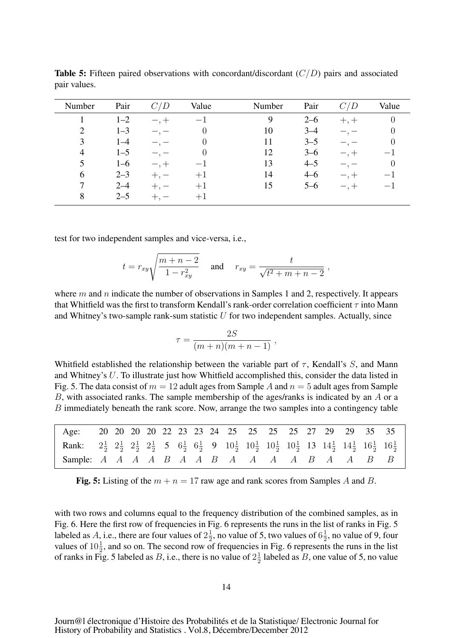| Number         | Pair    | 'D | Value    | Number | Pair    | D         | Value                    |
|----------------|---------|----|----------|--------|---------|-----------|--------------------------|
|                | $1 - 2$ |    | $-1$     | 9      | $2 - 6$ | $+, +$    | U                        |
| $\overline{2}$ | $1 - 3$ |    | $\theta$ | 10     | $3 - 4$ |           | O                        |
| 3              | $1 - 4$ |    | O        | 11     | $3 - 5$ |           | $\left( \right)$         |
| $\overline{4}$ | $1 - 5$ |    |          | 12     | $3 - 6$ |           | $\overline{\phantom{0}}$ |
| 5              | $1 - 6$ |    |          | 13     | $4 - 5$ |           | U                        |
| 6              | $2 - 3$ |    | $+1$     | 14     | $4 - 6$ | $-$ , $+$ | $-1$                     |
|                | $2 - 4$ |    | $+1$     | 15     | $5 - 6$ | $-$ , $+$ | $-1$                     |
| 8              | $2 - 5$ |    | $+1$     |        |         |           |                          |
|                |         |    |          |        |         |           |                          |

**Table 5:** Fifteen paired observations with concordant/discordant  $(C/D)$  pairs and associated pair values.

test for two independent samples and vice-versa, i.e.,

$$
t = r_{xy} \sqrt{\frac{m+n-2}{1-r_{xy}^2}}
$$
 and  $r_{xy} = \frac{t}{\sqrt{t^2+m+n-2}}$ ,

where  $m$  and  $n$  indicate the number of observations in Samples 1 and 2, respectively. It appears that Whitfield was the first to transform Kendall's rank-order correlation coefficient  $\tau$  into Mann and Whitney's two-sample rank-sum statistic  $U$  for two independent samples. Actually, since

$$
\tau = \frac{2S}{(m+n)(m+n-1)},
$$

Whitfield established the relationship between the variable part of  $\tau$ , Kendall's S, and Mann and Whitney's U. To illustrate just how Whitfield accomplished this, consider the data listed in Fig. 5. The data consist of  $m = 12$  adult ages from Sample A and  $n = 5$  adult ages from Sample B, with associated ranks. The sample membership of the ages/ranks is indicated by an  $\ddot{A}$  or a B immediately beneath the rank score. Now, arrange the two samples into a contingency table

| Age:                                                                                                                                                                                                                                            |  |  |  |  | 20 20 20 20 22 23 23 24 25 25 25 25 27 29 29 35 35 |  |  |  |  |
|-------------------------------------------------------------------------------------------------------------------------------------------------------------------------------------------------------------------------------------------------|--|--|--|--|----------------------------------------------------|--|--|--|--|
| <b>Rank:</b> $2\frac{1}{2}$ $2\frac{1}{2}$ $2\frac{1}{2}$ $2\frac{1}{2}$ 5 $6\frac{1}{2}$ $6\frac{1}{2}$ 9 $10\frac{1}{2}$ $10\frac{1}{2}$ $10\frac{1}{2}$ $10\frac{1}{2}$ $13$ $14\frac{1}{2}$ $14\frac{1}{2}$ $16\frac{1}{2}$ $16\frac{1}{2}$ |  |  |  |  |                                                    |  |  |  |  |
| Sample: A A A A B A A B A A A A B A A B B                                                                                                                                                                                                       |  |  |  |  |                                                    |  |  |  |  |

Fig. 5: Listing of the  $m + n = 17$  raw age and rank scores from Samples A and B.

with two rows and columns equal to the frequency distribution of the combined samples, as in Fig. 6. Here the first row of frequencies in Fig. 6 represents the runs in the list of ranks in Fig. 5 labeled as A, i.e., there are four values of  $2\frac{1}{2}$ , no value of 5, two values of  $6\frac{1}{2}$ , no value of 9, four values of  $10\frac{1}{2}$ , and so on. The second row of frequencies in Fig. 6 represents the runs in the list of ranks in Fig. 5 labeled as B, i.e., there is no value of  $2\frac{1}{2}$  labeled as B, one value of 5, no value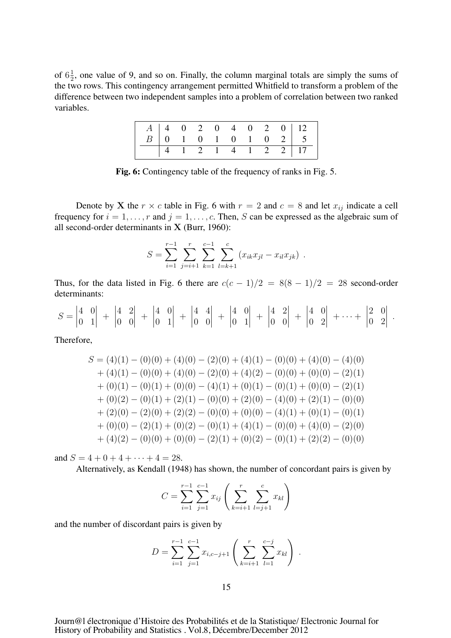of  $6\frac{1}{2}$ , one value of 9, and so on. Finally, the column marginal totals are simply the sums of the two rows. This contingency arrangement permitted Whitfield to transform a problem of the difference between two independent samples into a problem of correlation between two ranked variables.

|  |  |  |  |                    | $\begin{array}{c ccccccccc} A & 4 & 0 & 2 & 0 & 4 & 0 & 2 & 0 & 12 \\ \hline B & 0 & 1 & 0 & 1 & 0 & 1 & 0 & 2 & 5 \end{array}$ |
|--|--|--|--|--------------------|---------------------------------------------------------------------------------------------------------------------------------|
|  |  |  |  | 4 1 2 1 4 1 2 2 17 |                                                                                                                                 |

Fig. 6: Contingency table of the frequency of ranks in Fig. 5.

Denote by X the  $r \times c$  table in Fig. 6 with  $r = 2$  and  $c = 8$  and let  $x_{ij}$  indicate a cell frequency for  $i = 1, \ldots, r$  and  $j = 1, \ldots, c$ . Then, S can be expressed as the algebraic sum of all second-order determinants in X (Burr, 1960):

$$
S = \sum_{i=1}^{r-1} \sum_{j=i+1}^{r} \sum_{k=1}^{c-1} \sum_{l=k+1}^{c} (x_{ik}x_{jl} - x_{il}x_{jk}) .
$$

Thus, for the data listed in Fig. 6 there are  $c(c - 1)/2 = 8(8 - 1)/2 = 28$  second-order determinants:

$$
S = \begin{vmatrix} 4 & 0 \\ 0 & 1 \end{vmatrix} + \begin{vmatrix} 4 & 2 \\ 0 & 0 \end{vmatrix} + \begin{vmatrix} 4 & 0 \\ 0 & 1 \end{vmatrix} + \begin{vmatrix} 4 & 4 \\ 0 & 0 \end{vmatrix} + \begin{vmatrix} 4 & 0 \\ 0 & 1 \end{vmatrix} + \begin{vmatrix} 4 & 2 \\ 0 & 0 \end{vmatrix} + \begin{vmatrix} 4 & 0 \\ 0 & 2 \end{vmatrix} + \cdots + \begin{vmatrix} 2 & 0 \\ 0 & 2 \end{vmatrix}.
$$

Therefore,

$$
S = (4)(1) - (0)(0) + (4)(0) - (2)(0) + (4)(1) - (0)(0) + (4)(0) - (4)(0)
$$
  
+ (4)(1) - (0)(0) + (4)(0) - (2)(0) + (4)(2) - (0)(0) + (0)(0) - (2)(1)  
+ (0)(1) - (0)(1) + (0)(0) - (4)(1) + (0)(1) - (0)(1) + (0)(0) - (2)(1)  
+ (0)(2) - (0)(1) + (2)(1) - (0)(0) + (2)(0) - (4)(0) + (2)(1) - (0)(0)  
+ (2)(0) - (2)(0) + (2)(2) - (0)(0) + (0)(0) - (4)(1) + (0)(1) - (0)(1)  
+ (0)(0) - (2)(1) + (0)(2) - (0)(1) + (4)(1) - (0)(0) + (4)(0) - (2)(0)  
+ (4)(2) - (0)(0) + (0)(0) - (2)(1) + (0)(2) - (0)(1) + (2)(2) - (0)(0)

and  $S = 4 + 0 + 4 + \cdots + 4 = 28$ .

Alternatively, as Kendall (1948) has shown, the number of concordant pairs is given by

$$
C = \sum_{i=1}^{r-1} \sum_{j=1}^{c-1} x_{ij} \left( \sum_{k=i+1}^{r} \sum_{l=j+1}^{c} x_{kl} \right)
$$

and the number of discordant pairs is given by

$$
D = \sum_{i=1}^{r-1} \sum_{j=1}^{c-1} x_{i,c-j+1} \left( \sum_{k=i+1}^{r} \sum_{l=1}^{c-j} x_{kl} \right).
$$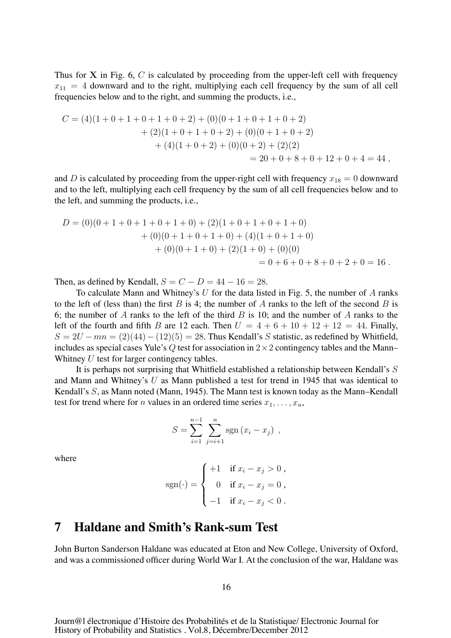Thus for  $X$  in Fig. 6,  $C$  is calculated by proceeding from the upper-left cell with frequency  $x_{11} = 4$  downward and to the right, multiplying each cell frequency by the sum of all cell frequencies below and to the right, and summing the products, i.e.,

$$
C = (4)(1+0+1+0+1+0+2) + (0)(0+1+0+1+0+2)
$$
  
+ (2)(1+0+1+0+2) + (0)(0+1+0+2)  
+ (4)(1+0+2) + (0)(0+2) + (2)(2)  
= 20 + 0 + 8 + 0 + 12 + 0 + 4 = 44,

and D is calculated by proceeding from the upper-right cell with frequency  $x_{18} = 0$  downward and to the left, multiplying each cell frequency by the sum of all cell frequencies below and to the left, and summing the products, i.e.,

$$
D = (0)(0+1+0+1+0+1+0) + (2)(1+0+1+0+1+0) + (0)(0+1+0+1+0) + (4)(1+0+1+0) + (0)(0+1+0) + (2)(1+0) + (0)(0) = 0+6+0+8+0+2+0 = 16.
$$

Then, as defined by Kendall,  $S = C - D = 44 - 16 = 28$ .

To calculate Mann and Whitney's  $U$  for the data listed in Fig. 5, the number of  $A$  ranks to the left of (less than) the first  $B$  is 4; the number of  $A$  ranks to the left of the second  $B$  is 6; the number of A ranks to the left of the third B is 10; and the number of A ranks to the left of the fourth and fifth B are 12 each. Then  $U = 4 + 6 + 10 + 12 + 12 = 44$ . Finally,  $S = 2U - mn = (2)(44) - (12)(5) = 28$ . Thus Kendall's S statistic, as redefined by Whitfield, includes as special cases Yule's Q test for association in  $2 \times 2$  contingency tables and the Mann– Whitney U test for larger contingency tables.

It is perhaps not surprising that Whitfield established a relationship between Kendall's S and Mann and Whitney's U as Mann published a test for trend in 1945 that was identical to Kendall's S, as Mann noted (Mann, 1945). The Mann test is known today as the Mann–Kendall test for trend where for *n* values in an ordered time series  $x_1, \ldots, x_n$ ,

$$
S = \sum_{i=1}^{n-1} \sum_{j=i+1}^{n} \text{sgn}(x_i - x_j) ,
$$

where

$$
sgn(\cdot) = \begin{cases} +1 & \text{if } x_i - x_j > 0 ,\\ 0 & \text{if } x_i - x_j = 0 ,\\ -1 & \text{if } x_i - x_j < 0 . \end{cases}
$$

#### 7 Haldane and Smith's Rank-sum Test

John Burton Sanderson Haldane was educated at Eton and New College, University of Oxford, and was a commissioned officer during World War I. At the conclusion of the war, Haldane was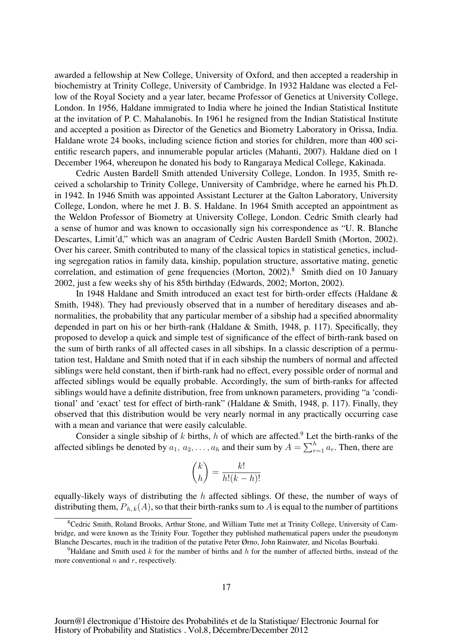awarded a fellowship at New College, University of Oxford, and then accepted a readership in biochemistry at Trinity College, University of Cambridge. In 1932 Haldane was elected a Fellow of the Royal Society and a year later, became Professor of Genetics at University College, London. In 1956, Haldane immigrated to India where he joined the Indian Statistical Institute at the invitation of P. C. Mahalanobis. In 1961 he resigned from the Indian Statistical Institute and accepted a position as Director of the Genetics and Biometry Laboratory in Orissa, India. Haldane wrote 24 books, including science fiction and stories for children, more than 400 scientific research papers, and innumerable popular articles (Mahanti, 2007). Haldane died on 1 December 1964, whereupon he donated his body to Rangaraya Medical College, Kakinada.

Cedric Austen Bardell Smith attended University College, London. In 1935, Smith received a scholarship to Trinity College, Unniversity of Cambridge, where he earned his Ph.D. in 1942. In 1946 Smith was appointed Assistant Lecturer at the Galton Laboratory, University College, London, where he met J. B. S. Haldane. In 1964 Smith accepted an appointment as the Weldon Professor of Biometry at University College, London. Cedric Smith clearly had a sense of humor and was known to occasionally sign his correspondence as "U. R. Blanche Descartes, Limit'd," which was an anagram of Cedric Austen Bardell Smith (Morton, 2002). Over his career, Smith contributed to many of the classical topics in statistical genetics, including segregation ratios in family data, kinship, population structure, assortative mating, genetic correlation, and estimation of gene frequencies (Morton, 2002).<sup>8</sup> Smith died on 10 January 2002, just a few weeks shy of his 85th birthday (Edwards, 2002; Morton, 2002).

In 1948 Haldane and Smith introduced an exact test for birth-order effects (Haldane & Smith, 1948). They had previously observed that in a number of hereditary diseases and abnormalities, the probability that any particular member of a sibship had a specified abnormality depended in part on his or her birth-rank (Haldane & Smith, 1948, p. 117). Specifically, they proposed to develop a quick and simple test of significance of the effect of birth-rank based on the sum of birth ranks of all affected cases in all sibships. In a classic description of a permutation test, Haldane and Smith noted that if in each sibship the numbers of normal and affected siblings were held constant, then if birth-rank had no effect, every possible order of normal and affected siblings would be equally probable. Accordingly, the sum of birth-ranks for affected siblings would have a definite distribution, free from unknown parameters, providing "a 'conditional' and 'exact' test for effect of birth-rank" (Haldane & Smith, 1948, p. 117). Finally, they observed that this distribution would be very nearly normal in any practically occurring case with a mean and variance that were easily calculable.

Consider a single sibship of k births, h of which are affected.<sup>9</sup> Let the birth-ranks of the affected siblings be denoted by  $a_1, a_2, \ldots, a_h$  and their sum by  $A = \sum_{r=1}^h a_r$ . Then, there are

$$
\binom{k}{h} = \frac{k!}{h!(k-h)!}
$$

equally-likely ways of distributing the  $h$  affected siblings. Of these, the number of ways of distributing them,  $P_{h,k}(A)$ , so that their birth-ranks sum to A is equal to the number of partitions

<sup>8</sup>Cedric Smith, Roland Brooks, Arthur Stone, and William Tutte met at Trinity College, University of Cambridge, and were known as the Trinity Four. Together they published mathematical papers under the pseudonym Blanche Descartes, much in the tradition of the putative Peter Ørno, John Rainwater, and Nicolas Bourbaki.

<sup>&</sup>lt;sup>9</sup>Haldane and Smith used k for the number of births and h for the number of affected births, instead of the more conventional  $n$  and  $r$ , respectively.

Journ@l électronique d'Histoire des Probabilités et de la Statistique/ Electronic Journal for History of Probability and Statistics . Vol.8, Décembre/December 2012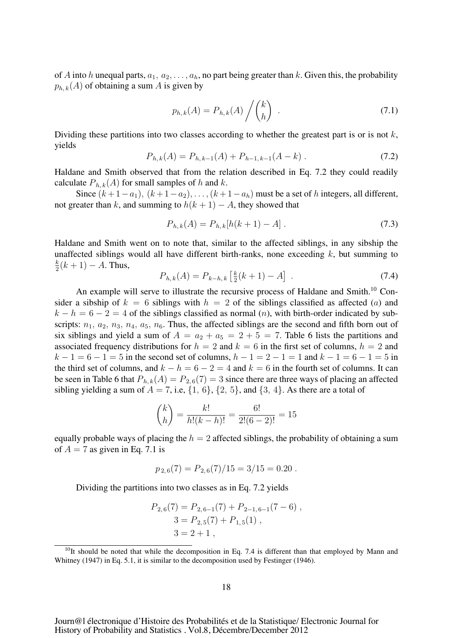of A into h unequal parts,  $a_1, a_2, \ldots, a_h$ , no part being greater than k. Given this, the probability  $p_{h,k}(A)$  of obtaining a sum A is given by

$$
p_{h,k}(A) = P_{h,k}(A) / {k \choose h} . \qquad (7.1)
$$

Dividing these partitions into two classes according to whether the greatest part is or is not  $k$ , yields

$$
P_{h,k}(A) = P_{h,k-1}(A) + P_{h-1,k-1}(A-k) \tag{7.2}
$$

Haldane and Smith observed that from the relation described in Eq. 7.2 they could readily calculate  $P_{h,k}(A)$  for small samples of h and k.

Since  $(k+1-a_1)$ ,  $(k+1-a_2)$ , ...,  $(k+1-a_h)$  must be a set of h integers, all different, not greater than k, and summing to  $h(k + 1) - A$ , they showed that

$$
P_{h,k}(A) = P_{h,k}[h(k+1) - A]. \tag{7.3}
$$

Haldane and Smith went on to note that, similar to the affected siblings, in any sibship the unaffected siblings would all have different birth-ranks, none exceeding  $k$ , but summing to  $\frac{k}{2}(k+1) - A$ . Thus,

$$
P_{h,k}(A) = P_{k-h,k} \left[ \frac{k}{2}(k+1) - A \right] \tag{7.4}
$$

An example will serve to illustrate the recursive process of Haldane and Smith.<sup>10</sup> Consider a sibship of  $k = 6$  siblings with  $h = 2$  of the siblings classified as affected (a) and  $k - h = 6 - 2 = 4$  of the siblings classified as normal  $(n)$ , with birth-order indicated by subscripts:  $n_1$ ,  $a_2$ ,  $n_3$ ,  $n_4$ ,  $a_5$ ,  $n_6$ . Thus, the affected siblings are the second and fifth born out of six siblings and yield a sum of  $A = a_2 + a_5 = 2 + 5 = 7$ . Table 6 lists the partitions and associated frequency distributions for  $h = 2$  and  $k = 6$  in the first set of columns,  $h = 2$  and  $k - 1 = 6 - 1 = 5$  in the second set of columns,  $h - 1 = 2 - 1 = 1$  and  $k - 1 = 6 - 1 = 5$  in the third set of columns, and  $k - h = 6 - 2 = 4$  and  $k = 6$  in the fourth set of columns. It can be seen in Table 6 that  $P_{h,k}(A) = P_{2,6}(7) = 3$  since there are three ways of placing an affected sibling yielding a sum of  $A = 7$ , i.e,  $\{1, 6\}$ ,  $\{2, 5\}$ , and  $\{3, 4\}$ . As there are a total of

$$
\binom{k}{h} = \frac{k!}{h!(k-h)!} = \frac{6!}{2!(6-2)!} = 15
$$

equally probable ways of placing the  $h = 2$  affected siblings, the probability of obtaining a sum of  $A = 7$  as given in Eq. 7.1 is

$$
p_{2,6}(7) = P_{2,6}(7)/15 = 3/15 = 0.20
$$
.

Dividing the partitions into two classes as in Eq. 7.2 yields

$$
P_{2,6}(7) = P_{2,6-1}(7) + P_{2-1,6-1}(7-6),
$$
  
\n
$$
3 = P_{2,5}(7) + P_{1,5}(1),
$$
  
\n
$$
3 = 2 + 1,
$$

 $10$ It should be noted that while the decomposition in Eq. 7.4 is different than that employed by Mann and Whitney (1947) in Eq. 5.1, it is similar to the decomposition used by Festinger (1946).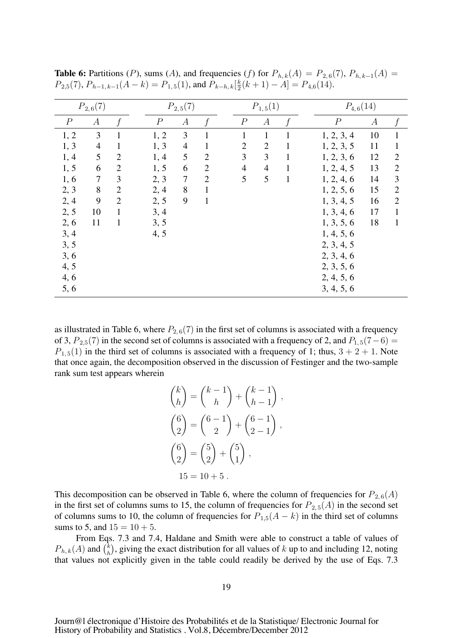| $P_{2,6}(7)$             |                |  |                                                                                                  |                |              |                  |                  |              |              |                  |                  |                |
|--------------------------|----------------|--|--------------------------------------------------------------------------------------------------|----------------|--------------|------------------|------------------|--------------|--------------|------------------|------------------|----------------|
| $\boldsymbol{A}$         | f              |  | $\boldsymbol{A}$                                                                                 | $\ddot{f}$     |              | $\boldsymbol{P}$ | $\boldsymbol{A}$ |              |              | $\boldsymbol{P}$ | $\boldsymbol{A}$ | f              |
| 3                        | $\mathbf{1}$   |  | 3                                                                                                | $\mathbf{1}$   |              | $\mathbf{1}$     | $\mathbf{1}$     | 1            |              | 1, 2, 3, 4       | 10               | $\mathbf{1}$   |
| $\overline{\mathcal{A}}$ |                |  | $\overline{4}$                                                                                   | $\mathbf{1}$   |              | $\mathbf{2}$     | $\overline{2}$   | $\mathbf{1}$ |              | 1, 2, 3, 5       | 11               | $\mathbf{1}$   |
| 5                        | $\overline{2}$ |  | 5                                                                                                | $\overline{2}$ |              | 3                | 3                | 1            |              | 1, 2, 3, 6       | 12               | $\overline{2}$ |
| 6                        | $\overline{2}$ |  | 6                                                                                                | $\overline{2}$ |              | $\overline{4}$   | $\overline{4}$   | 1            |              | 1, 2, 4, 5       | 13               | $\mathbf{2}$   |
| $\overline{7}$           | 3              |  | $\tau$                                                                                           | $\overline{2}$ |              | 5                | 5                | $\mathbf{1}$ |              | 1, 2, 4, 6       | 14               | $\overline{3}$ |
| 8                        | $\overline{2}$ |  | 8                                                                                                | $\mathbf{1}$   |              |                  |                  |              |              | 1, 2, 5, 6       | 15               | $\overline{2}$ |
| 9                        | $\overline{2}$ |  | 9                                                                                                | $\mathbf{1}$   |              |                  |                  |              |              | 1, 3, 4, 5       | 16               | $\overline{2}$ |
| 10                       | $\mathbf{1}$   |  |                                                                                                  |                |              |                  |                  |              |              | 1, 3, 4, 6       | 17               | $\mathbf{1}$   |
| 11                       | 1              |  |                                                                                                  |                |              |                  |                  |              |              | 1, 3, 5, 6       | 18               | $\mathbf{1}$   |
|                          |                |  |                                                                                                  |                |              |                  |                  |              |              | 1, 4, 5, 6       |                  |                |
|                          |                |  |                                                                                                  |                |              |                  |                  |              |              | 2, 3, 4, 5       |                  |                |
|                          |                |  |                                                                                                  |                |              |                  |                  |              |              | 2, 3, 4, 6       |                  |                |
|                          |                |  |                                                                                                  |                |              |                  |                  |              |              | 2, 3, 5, 6       |                  |                |
|                          |                |  |                                                                                                  |                |              |                  |                  |              |              | 2, 4, 5, 6       |                  |                |
|                          |                |  |                                                                                                  |                |              |                  |                  |              |              | 3, 4, 5, 6       |                  |                |
|                          |                |  | $\boldsymbol{P}$<br>1, 2<br>1, 3<br>1, 4<br>1, 5<br>2, 3<br>2, 4<br>2, 5<br>3, 4<br>3, 5<br>4, 5 |                | $P_{2,5}(7)$ |                  |                  |              | $P_{1,5}(1)$ |                  |                  | $P_{4,6}(14)$  |

**Table 6:** Partitions (P), sums (A), and frequencies (f) for  $P_{h,k}(A) = P_{2,6}(7)$ ,  $P_{h,k-1}(A) =$  $P_{2,5}(7), P_{h-1,k-1}(A-k) = P_{1,5}(1)$ , and  $P_{k-h,k}[\frac{k}{2}(k+1) - A] = P_{4,6}(14)$ .

as illustrated in Table 6, where  $P_{2,6}(7)$  in the first set of columns is associated with a frequency of 3,  $P_{2,5}(7)$  in the second set of columns is associated with a frequency of 2, and  $P_{1,5}(7-6)$  =  $P_{1,5}(1)$  in the third set of columns is associated with a frequency of 1; thus,  $3 + 2 + 1$ . Note that once again, the decomposition observed in the discussion of Festinger and the two-sample rank sum test appears wherein

$$
\binom{k}{h} = \binom{k-1}{h} + \binom{k-1}{h-1},
$$

$$
\binom{6}{2} = \binom{6-1}{2} + \binom{6-1}{2-1},
$$

$$
\binom{6}{2} = \binom{5}{2} + \binom{5}{1},
$$

$$
15 = 10 + 5.
$$

This decomposition can be observed in Table 6, where the column of frequencies for  $P_{2.6}(A)$ in the first set of columns sums to 15, the column of frequencies for  $P_{2,5}(A)$  in the second set of columns sums to 10, the column of frequencies for  $P_{1,5}(A - k)$  in the third set of columns sums to 5, and  $15 = 10 + 5$ .

From Eqs. 7.3 and 7.4, Haldane and Smith were able to construct a table of values of  $P_{h,k}(A)$  and  $\binom{k}{h}$ , giving the exact distribution for all values of k up to and including 12, noting that values not explicitly given in the table could readily be derived by the use of Eqs. 7.3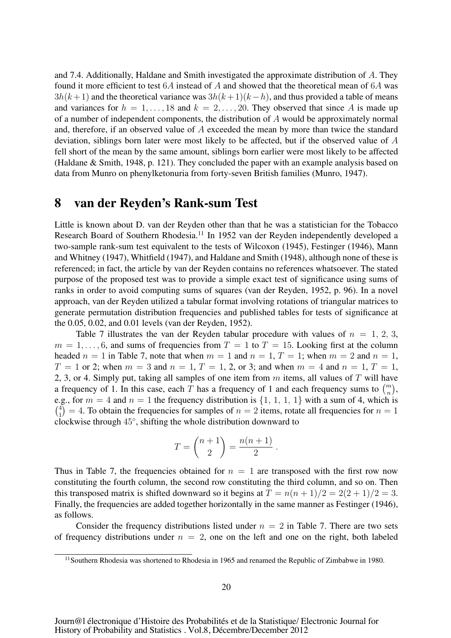and 7.4. Additionally, Haldane and Smith investigated the approximate distribution of A. They found it more efficient to test  $6A$  instead of A and showed that the theoretical mean of  $6A$  was  $3h(k+1)$  and the theoretical variance was  $3h(k+1)(k-h)$ , and thus provided a table of means and variances for  $h = 1, \ldots, 18$  and  $k = 2, \ldots, 20$ . They observed that since A is made up of a number of independent components, the distribution of A would be approximately normal and, therefore, if an observed value of A exceeded the mean by more than twice the standard deviation, siblings born later were most likely to be affected, but if the observed value of A fell short of the mean by the same amount, siblings born earlier were most likely to be affected (Haldane & Smith, 1948, p. 121). They concluded the paper with an example analysis based on data from Munro on phenylketonuria from forty-seven British families (Munro, 1947).

#### 8 van der Reyden's Rank-sum Test

Little is known about D. van der Reyden other than that he was a statistician for the Tobacco Research Board of Southern Rhodesia.<sup>11</sup> In 1952 van der Reyden independently developed a two-sample rank-sum test equivalent to the tests of Wilcoxon (1945), Festinger (1946), Mann and Whitney (1947), Whitfield (1947), and Haldane and Smith (1948), although none of these is referenced; in fact, the article by van der Reyden contains no references whatsoever. The stated purpose of the proposed test was to provide a simple exact test of significance using sums of ranks in order to avoid computing sums of squares (van der Reyden, 1952, p. 96). In a novel approach, van der Reyden utilized a tabular format involving rotations of triangular matrices to generate permutation distribution frequencies and published tables for tests of significance at the 0.05, 0.02, and 0.01 levels (van der Reyden, 1952).

Table 7 illustrates the van der Reyden tabular procedure with values of  $n = 1, 2, 3$ ,  $m = 1, \ldots, 6$ , and sums of frequencies from  $T = 1$  to  $T = 15$ . Looking first at the column headed  $n = 1$  in Table 7, note that when  $m = 1$  and  $n = 1$ ,  $T = 1$ ; when  $m = 2$  and  $n = 1$ ,  $T = 1$  or 2; when  $m = 3$  and  $n = 1, T = 1, 2,$  or 3; and when  $m = 4$  and  $n = 1, T = 1$ , 2, 3, or 4. Simply put, taking all samples of one item from  $m$  items, all values of  $T$  will have a frequency of 1. In this case, each  $\overline{T}$  has a frequency of 1 and each frequency sums to  $\binom{m}{n}$ , e.g., for  $m = 4$  and  $n = 1$  the frequency distribution is  $\{1, 1, 1, 1\}$  with a sum of 4, which is  $\binom{4}{1}$  = 4. To obtain the frequencies for samples of  $n = 2$  items, rotate all frequencies for  $n = 1$ clockwise through 45◦, shifting the whole distribution downward to

$$
T = \binom{n+1}{2} = \frac{n(n+1)}{2}.
$$

Thus in Table 7, the frequencies obtained for  $n = 1$  are transposed with the first row now constituting the fourth column, the second row constituting the third column, and so on. Then this transposed matrix is shifted downward so it begins at  $T = n(n+1)/2 = 2(2+1)/2 = 3$ . Finally, the frequencies are added together horizontally in the same manner as Festinger (1946), as follows.

Consider the frequency distributions listed under  $n = 2$  in Table 7. There are two sets of frequency distributions under  $n = 2$ , one on the left and one on the right, both labeled

 $11$ Southern Rhodesia was shortened to Rhodesia in 1965 and renamed the Republic of Zimbabwe in 1980.

Journ@l électronique d'Histoire des Probabilités et de la Statistique/ Electronic Journal for History of Probability and Statistics . Vol.8, Décembre/December 2012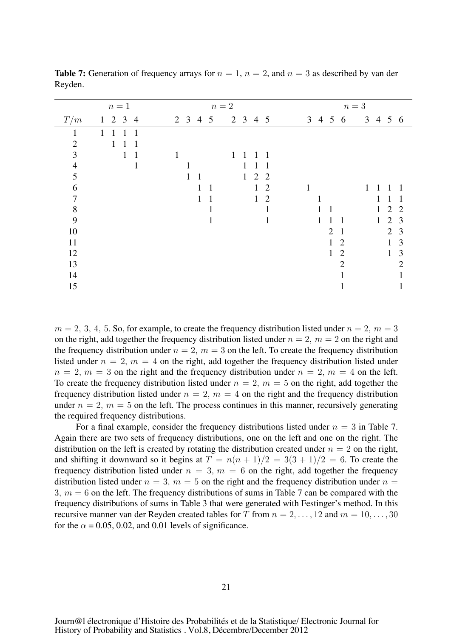|                | $n=1$                       | $n=2$                                  | $n=3$                                    |
|----------------|-----------------------------|----------------------------------------|------------------------------------------|
| T/m            | $2 \t3 \t4$<br>$\mathbf{1}$ | $2 \t3 \t4 \t5$<br>2 3 4 5             | 3 4 5 6<br>3 4 5 6                       |
| 1              | $\overline{1}$<br>1<br>1    |                                        |                                          |
| $\overline{2}$ | 1                           |                                        |                                          |
| 3              | 1<br>$\mathbf{1}$           | 1                                      |                                          |
| 4              |                             |                                        |                                          |
| 5              |                             | 2<br>2<br>$\mathbf{1}$                 |                                          |
| 6              |                             | 1<br>$\overline{2}$<br>1               | 1<br>1                                   |
| 7              |                             | $\mathbf{1}$<br>2<br>1<br>$\mathbf{1}$ | 1                                        |
| $8\,$          |                             |                                        | 2<br>2<br>$\mathbf{1}$<br>$\overline{1}$ |
| 9              |                             |                                        | $\overline{2}$<br>1<br>3<br>$\mathbf{1}$ |
| 10             |                             |                                        | $\overline{2}$<br>2<br>3<br>1            |
| 11             |                             |                                        | 3<br>$\overline{2}$<br>1                 |
| 12             |                             |                                        | $\overline{2}$<br>3<br>$\mathbf{1}$      |
| 13             |                             |                                        | $\overline{2}$<br>2                      |
| 14             |                             |                                        |                                          |
| 15             |                             |                                        |                                          |

**Table 7:** Generation of frequency arrays for  $n = 1$ ,  $n = 2$ , and  $n = 3$  as described by van der Reyden.

 $m = 2, 3, 4, 5$ . So, for example, to create the frequency distribution listed under  $n = 2, m = 3$ on the right, add together the frequency distribution listed under  $n = 2$ ,  $m = 2$  on the right and the frequency distribution under  $n = 2$ ,  $m = 3$  on the left. To create the frequency distribution listed under  $n = 2$ ,  $m = 4$  on the right, add together the frequency distribution listed under  $n = 2$ ,  $m = 3$  on the right and the frequency distribution under  $n = 2$ ,  $m = 4$  on the left. To create the frequency distribution listed under  $n = 2$ ,  $m = 5$  on the right, add together the frequency distribution listed under  $n = 2$ ,  $m = 4$  on the right and the frequency distribution under  $n = 2$ ,  $m = 5$  on the left. The process continues in this manner, recursively generating the required frequency distributions.

For a final example, consider the frequency distributions listed under  $n = 3$  in Table 7. Again there are two sets of frequency distributions, one on the left and one on the right. The distribution on the left is created by rotating the distribution created under  $n = 2$  on the right, and shifting it downward so it begins at  $T = n(n + 1)/2 = 3(3 + 1)/2 = 6$ . To create the frequency distribution listed under  $n = 3$ ,  $m = 6$  on the right, add together the frequency distribution listed under  $n = 3$ ,  $m = 5$  on the right and the frequency distribution under  $n =$ 3,  $m = 6$  on the left. The frequency distributions of sums in Table 7 can be compared with the frequency distributions of sums in Table 3 that were generated with Festinger's method. In this recursive manner van der Reyden created tables for T from  $n = 2, \ldots, 12$  and  $m = 10, \ldots, 30$ for the  $\alpha = 0.05, 0.02,$  and 0.01 levels of significance.

Journ@l électronique d'Histoire des Probabilités et de la Statistique/ Electronic Journal for History of Probability and Statistics . Vol.8, Décembre/December 2012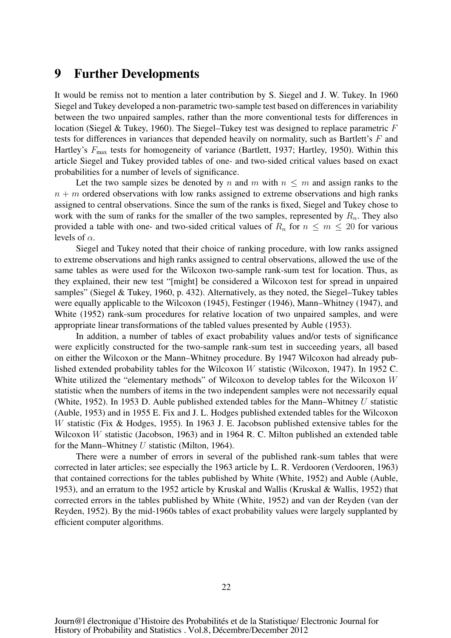## 9 Further Developments

It would be remiss not to mention a later contribution by S. Siegel and J. W. Tukey. In 1960 Siegel and Tukey developed a non-parametric two-sample test based on differences in variability between the two unpaired samples, rather than the more conventional tests for differences in location (Siegel & Tukey, 1960). The Siegel–Tukey test was designed to replace parametric F tests for differences in variances that depended heavily on normality, such as Bartlett's F and Hartley's  $F_{\text{max}}$  tests for homogeneity of variance (Bartlett, 1937; Hartley, 1950). Within this article Siegel and Tukey provided tables of one- and two-sided critical values based on exact probabilities for a number of levels of significance.

Let the two sample sizes be denoted by n and m with  $n \leq m$  and assign ranks to the  $n + m$  ordered observations with low ranks assigned to extreme observations and high ranks assigned to central observations. Since the sum of the ranks is fixed, Siegel and Tukey chose to work with the sum of ranks for the smaller of the two samples, represented by  $R_n$ . They also provided a table with one- and two-sided critical values of  $R_n$  for  $n \leq m \leq 20$  for various levels of  $\alpha$ .

Siegel and Tukey noted that their choice of ranking procedure, with low ranks assigned to extreme observations and high ranks assigned to central observations, allowed the use of the same tables as were used for the Wilcoxon two-sample rank-sum test for location. Thus, as they explained, their new test "[might] be considered a Wilcoxon test for spread in unpaired samples" (Siegel & Tukey, 1960, p. 432). Alternatively, as they noted, the Siegel–Tukey tables were equally applicable to the Wilcoxon (1945), Festinger (1946), Mann–Whitney (1947), and White (1952) rank-sum procedures for relative location of two unpaired samples, and were appropriate linear transformations of the tabled values presented by Auble (1953).

In addition, a number of tables of exact probability values and/or tests of significance were explicitly constructed for the two-sample rank-sum test in succeeding years, all based on either the Wilcoxon or the Mann–Whitney procedure. By 1947 Wilcoxon had already published extended probability tables for the Wilcoxon W statistic (Wilcoxon, 1947). In 1952 C. White utilized the "elementary methods" of Wilcoxon to develop tables for the Wilcoxon W statistic when the numbers of items in the two independent samples were not necessarily equal (White, 1952). In 1953 D. Auble published extended tables for the Mann–Whitney  $U$  statistic (Auble, 1953) and in 1955 E. Fix and J. L. Hodges published extended tables for the Wilcoxon W statistic (Fix & Hodges, 1955). In 1963 J. E. Jacobson published extensive tables for the Wilcoxon W statistic (Jacobson, 1963) and in 1964 R. C. Milton published an extended table for the Mann–Whitney U statistic (Milton, 1964).

There were a number of errors in several of the published rank-sum tables that were corrected in later articles; see especially the 1963 article by L. R. Verdooren (Verdooren, 1963) that contained corrections for the tables published by White (White, 1952) and Auble (Auble, 1953), and an erratum to the 1952 article by Kruskal and Wallis (Kruskal & Wallis, 1952) that corrected errors in the tables published by White (White, 1952) and van der Reyden (van der Reyden, 1952). By the mid-1960s tables of exact probability values were largely supplanted by efficient computer algorithms.

Journ@l électronique d'Histoire des Probabilités et de la Statistique/ Electronic Journal for History of Probability and Statistics . Vol.8, Décembre/December 2012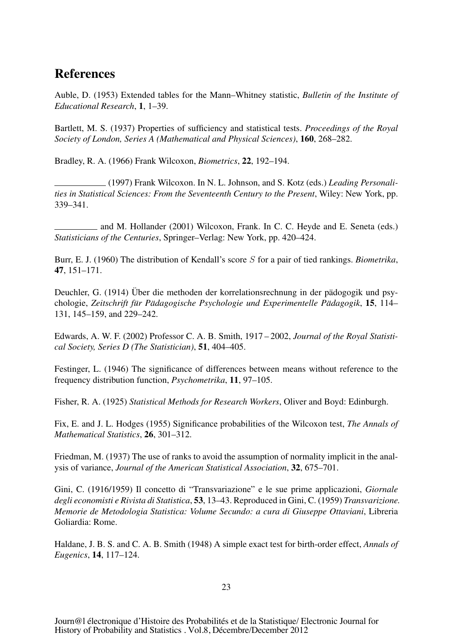# References

Auble, D. (1953) Extended tables for the Mann–Whitney statistic, *Bulletin of the Institute of Educational Research*, 1, 1–39.

Bartlett, M. S. (1937) Properties of sufficiency and statistical tests. *Proceedings of the Royal Society of London, Series A (Mathematical and Physical Sciences)*, 160, 268–282.

Bradley, R. A. (1966) Frank Wilcoxon, *Biometrics*, 22, 192–194.

(1997) Frank Wilcoxon. In N. L. Johnson, and S. Kotz (eds.) *Leading Personalities in Statistical Sciences: From the Seventeenth Century to the Present*, Wiley: New York, pp. 339–341.

and M. Hollander (2001) Wilcoxon, Frank. In C. C. Heyde and E. Seneta (eds.) *Statisticians of the Centuries*, Springer–Verlag: New York, pp. 420–424.

Burr, E. J. (1960) The distribution of Kendall's score S for a pair of tied rankings. *Biometrika*, 47, 151–171.

Deuchler, G. (1914) Über die methoden der korrelationsrechnung in der pädogogik und psychologie, *Zeitschrift fur P ¨ adagogische Psychologie und Experimentelle P ¨ adagogik ¨* , 15, 114– 131, 145–159, and 229–242.

Edwards, A. W. F. (2002) Professor C. A. B. Smith, 1917 – 2002, *Journal of the Royal Statistical Society, Series D (The Statistician)*, 51, 404–405.

Festinger, L. (1946) The significance of differences between means without reference to the frequency distribution function, *Psychometrika*, 11, 97–105.

Fisher, R. A. (1925) *Statistical Methods for Research Workers*, Oliver and Boyd: Edinburgh.

Fix, E. and J. L. Hodges (1955) Significance probabilities of the Wilcoxon test, *The Annals of Mathematical Statistics*, 26, 301–312.

Friedman, M. (1937) The use of ranks to avoid the assumption of normality implicit in the analysis of variance, *Journal of the American Statistical Association*, 32, 675–701.

Gini, C. (1916/1959) Il concetto di "Transvariazione" e le sue prime applicazioni, *Giornale degli economisti e Rivista di Statistica*, 53, 13–43. Reproduced in Gini, C. (1959) *Transvarizione. Memorie de Metodologia Statistica: Volume Secundo: a cura di Giuseppe Ottaviani*, Libreria Goliardia: Rome.

Haldane, J. B. S. and C. A. B. Smith (1948) A simple exact test for birth-order effect, *Annals of Eugenics*, 14, 117–124.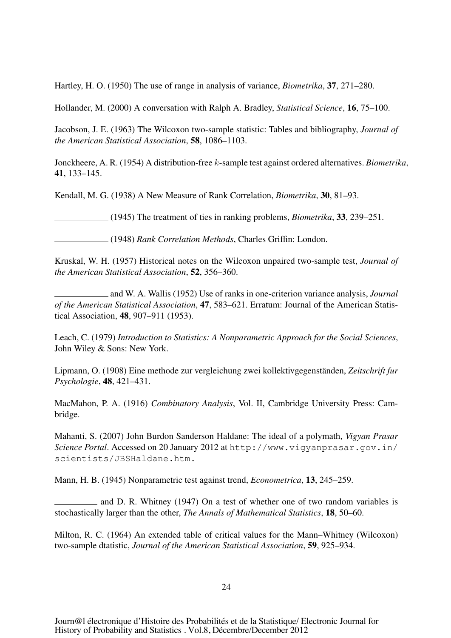Hartley, H. O. (1950) The use of range in analysis of variance, *Biometrika*, 37, 271–280.

Hollander, M. (2000) A conversation with Ralph A. Bradley, *Statistical Science*, 16, 75–100.

Jacobson, J. E. (1963) The Wilcoxon two-sample statistic: Tables and bibliography, *Journal of the American Statistical Association*, 58, 1086–1103.

Jonckheere, A. R. (1954) A distribution-free k-sample test against ordered alternatives. *Biometrika*, 41, 133–145.

Kendall, M. G. (1938) A New Measure of Rank Correlation, *Biometrika*, 30, 81–93.

(1945) The treatment of ties in ranking problems, *Biometrika*, 33, 239–251.

(1948) *Rank Correlation Methods*, Charles Griffin: London.

Kruskal, W. H. (1957) Historical notes on the Wilcoxon unpaired two-sample test, *Journal of the American Statistical Association*, 52, 356–360.

and W. A. Wallis (1952) Use of ranks in one-criterion variance analysis, *Journal of the American Statistical Association*, 47, 583–621. Erratum: Journal of the American Statistical Association, 48, 907–911 (1953).

Leach, C. (1979) *Introduction to Statistics: A Nonparametric Approach for the Social Sciences*, John Wiley & Sons: New York.

Lipmann, O. (1908) Eine methode zur vergleichung zwei kollektivgegenständen, Zeitschrift fur *Psychologie*, 48, 421–431.

MacMahon, P. A. (1916) *Combinatory Analysis*, Vol. II, Cambridge University Press: Cambridge.

Mahanti, S. (2007) John Burdon Sanderson Haldane: The ideal of a polymath, *Vigyan Prasar Science Portal*. Accessed on 20 January 2012 at http://www.vigyanprasar.gov.in/ scientists/JBSHaldane.htm.

Mann, H. B. (1945) Nonparametric test against trend, *Econometrica*, 13, 245–259.

and D. R. Whitney (1947) On a test of whether one of two random variables is stochastically larger than the other, *The Annals of Mathematical Statistics*, 18, 50–60.

Milton, R. C. (1964) An extended table of critical values for the Mann–Whitney (Wilcoxon) two-sample dtatistic, *Journal of the American Statistical Association*, 59, 925–934.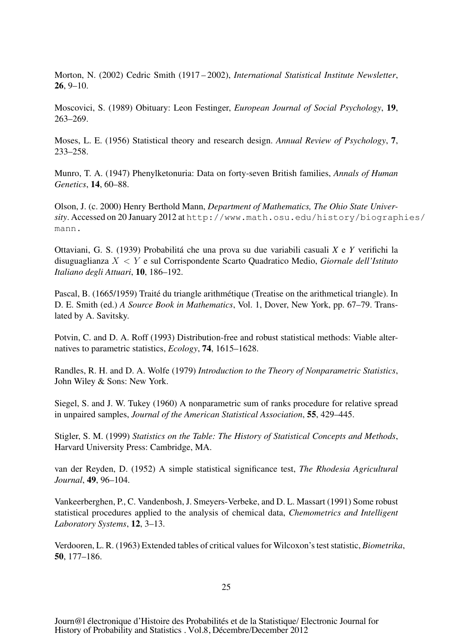Morton, N. (2002) Cedric Smith (1917 – 2002), *International Statistical Institute Newsletter*, 26, 9–10.

Moscovici, S. (1989) Obituary: Leon Festinger, *European Journal of Social Psychology*, 19, 263–269.

Moses, L. E. (1956) Statistical theory and research design. *Annual Review of Psychology*, 7, 233–258.

Munro, T. A. (1947) Phenylketonuria: Data on forty-seven British families, *Annals of Human Genetics*, 14, 60–88.

Olson, J. (c. 2000) Henry Berthold Mann, *Department of Mathematics, The Ohio State University*. Accessed on 20 January 2012 at http://www.math.osu.edu/history/biographies/ mann.

Ottaviani, G. S. (1939) Probabilita che una prova su due variabili casuali ´ *X* e *Y* verifichi la disuguaglianza X < Y e sul Corrispondente Scarto Quadratico Medio, *Giornale dell'Istituto Italiano degli Attuari*, 10, 186–192.

Pascal, B. (1665/1959) Traité du triangle arithmétique (Treatise on the arithmetical triangle). In D. E. Smith (ed.) *A Source Book in Mathematics*, Vol. 1, Dover, New York, pp. 67–79. Translated by A. Savitsky.

Potvin, C. and D. A. Roff (1993) Distribution-free and robust statistical methods: Viable alternatives to parametric statistics, *Ecology*, 74, 1615–1628.

Randles, R. H. and D. A. Wolfe (1979) *Introduction to the Theory of Nonparametric Statistics*, John Wiley & Sons: New York.

Siegel, S. and J. W. Tukey (1960) A nonparametric sum of ranks procedure for relative spread in unpaired samples, *Journal of the American Statistical Association*, 55, 429–445.

Stigler, S. M. (1999) *Statistics on the Table: The History of Statistical Concepts and Methods*, Harvard University Press: Cambridge, MA.

van der Reyden, D. (1952) A simple statistical significance test, *The Rhodesia Agricultural Journal*, 49, 96–104.

Vankeerberghen, P., C. Vandenbosh, J. Smeyers-Verbeke, and D. L. Massart (1991) Some robust statistical procedures applied to the analysis of chemical data, *Chemometrics and Intelligent Laboratory Systems*, 12, 3–13.

Verdooren, L. R. (1963) Extended tables of critical values for Wilcoxon's test statistic, *Biometrika*, 50, 177–186.